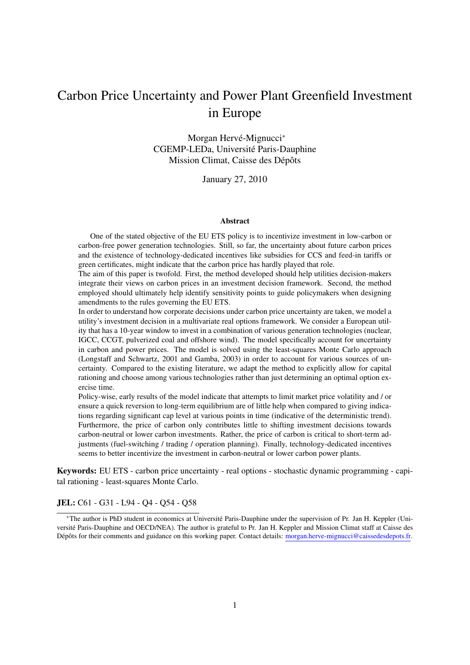## Carbon Price Uncertainty and Power Plant Greenfield Investment in Europe

Morgan Hervé-Mignucci\* CGEMP-LEDa, Université Paris-Dauphine Mission Climat, Caisse des Dépôts

January 27, 2010

#### Abstract

One of the stated objective of the EU ETS policy is to incentivize investment in low-carbon or carbon-free power generation technologies. Still, so far, the uncertainty about future carbon prices and the existence of technology-dedicated incentives like subsidies for CCS and feed-in tariffs or green certificates, might indicate that the carbon price has hardly played that role.

The aim of this paper is twofold. First, the method developed should help utilities decision-makers integrate their views on carbon prices in an investment decision framework. Second, the method employed should ultimately help identify sensitivity points to guide policymakers when designing amendments to the rules governing the EU ETS.

In order to understand how corporate decisions under carbon price uncertainty are taken, we model a utility's investment decision in a multivariate real options framework. We consider a European utility that has a 10-year window to invest in a combination of various generation technologies (nuclear, IGCC, CCGT, pulverized coal and offshore wind). The model specifically account for uncertainty in carbon and power prices. The model is solved using the least-squares Monte Carlo approach (Longstaff and Schwartz, 2001 and Gamba, 2003) in order to account for various sources of uncertainty. Compared to the existing literature, we adapt the method to explicitly allow for capital rationing and choose among various technologies rather than just determining an optimal option exercise time.

Policy-wise, early results of the model indicate that attempts to limit market price volatility and / or ensure a quick reversion to long-term equilibrium are of little help when compared to giving indications regarding significant cap level at various points in time (indicative of the deterministic trend). Furthermore, the price of carbon only contributes little to shifting investment decisions towards carbon-neutral or lower carbon investments. Rather, the price of carbon is critical to short-term adjustments (fuel-switching / trading / operation planning). Finally, technology-dedicated incentives seems to better incentivize the investment in carbon-neutral or lower carbon power plants.

Keywords: EU ETS - carbon price uncertainty - real options - stochastic dynamic programming - capital rationing - least-squares Monte Carlo.

#### JEL: C61 - G31 - L94 - Q4 - Q54 - Q58

<sup>∗</sup>The author is PhD student in economics at Universite Paris-Dauphine under the supervision of Pr. Jan H. Keppler (Uni- ´ versite Paris-Dauphine and OECD/NEA). The author is grateful to Pr. Jan H. Keppler and Mission Climat staff at Caisse des ´ Dépôts for their comments and guidance on this working paper. Contact details: morgan.herve-mignucci@caissedesdepots.fr.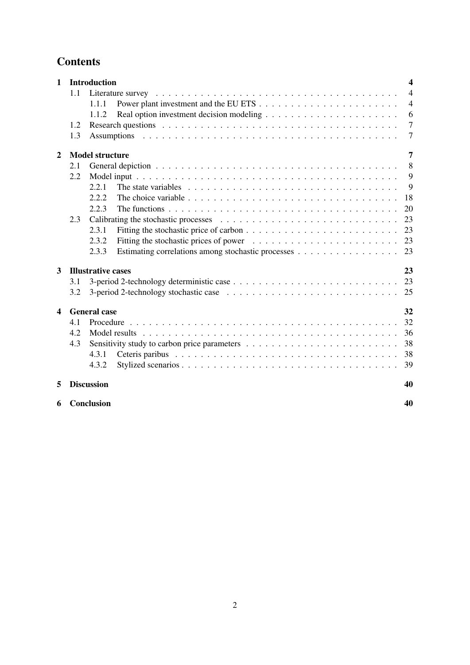## **Contents**

| $\mathbf{1}$            |     | <b>Introduction</b>                                                                                                 | $\overline{\mathbf{4}}$ |
|-------------------------|-----|---------------------------------------------------------------------------------------------------------------------|-------------------------|
|                         | 1.1 |                                                                                                                     | $\overline{4}$          |
|                         |     | 1.1.1                                                                                                               | $\overline{4}$          |
|                         |     | 1.1.2                                                                                                               | 6                       |
|                         | 1.2 |                                                                                                                     | $\overline{7}$          |
|                         | 1.3 |                                                                                                                     | $\overline{7}$          |
| $\overline{2}$          |     | <b>Model structure</b>                                                                                              | $\overline{7}$          |
|                         | 2.1 |                                                                                                                     | 8                       |
|                         | 2.2 |                                                                                                                     | 9                       |
|                         |     | 2.2.1                                                                                                               | 9                       |
|                         |     | 2.2.2                                                                                                               | 18                      |
|                         |     | 2.2.3<br>The functions $\ldots \ldots \ldots \ldots \ldots \ldots \ldots \ldots \ldots \ldots \ldots \ldots \ldots$ | 20                      |
|                         | 2.3 |                                                                                                                     | 23                      |
|                         |     | 2.3.1                                                                                                               | 23                      |
|                         |     | 2.3.2                                                                                                               | 23                      |
|                         |     | 2.3.3                                                                                                               | 23                      |
| 3                       |     | <b>Illustrative cases</b>                                                                                           | 23                      |
|                         | 3.1 |                                                                                                                     | 23                      |
|                         | 3.2 | 3-period 2-technology stochastic case $\ldots \ldots \ldots \ldots \ldots \ldots \ldots \ldots \ldots \ldots$       | 25                      |
| $\overline{\mathbf{4}}$ |     | <b>General</b> case                                                                                                 | 32                      |
|                         | 4.1 |                                                                                                                     | 32                      |
|                         | 4.2 |                                                                                                                     | 36                      |
|                         | 4.3 |                                                                                                                     | 38                      |
|                         |     | 4.3.1                                                                                                               | 38                      |
|                         |     | 4.3.2                                                                                                               | 39                      |
|                         |     |                                                                                                                     |                         |
| 5                       |     | <b>Discussion</b>                                                                                                   | 40                      |
| 6                       |     | Conclusion                                                                                                          | 40                      |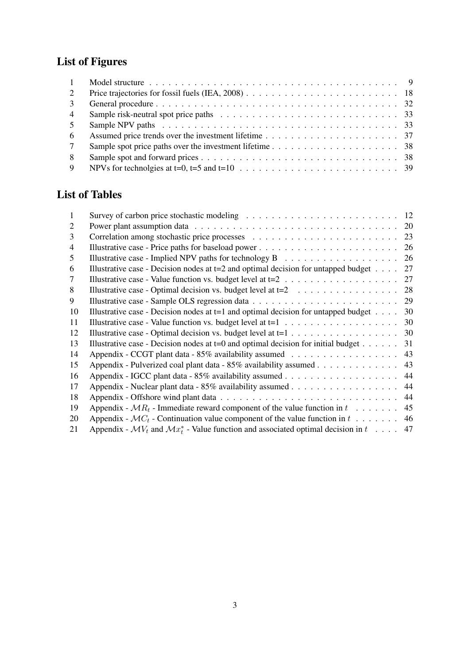# List of Figures

| $\mathbf{1}$    |  |
|-----------------|--|
| $\overline{2}$  |  |
| $\mathcal{E}$   |  |
| $\overline{4}$  |  |
| 5               |  |
| -6              |  |
| $7\phantom{.0}$ |  |
| 8               |  |
| 9               |  |

## List of Tables

| 1              |                                                                                                                     |    |
|----------------|---------------------------------------------------------------------------------------------------------------------|----|
| 2              |                                                                                                                     | 20 |
| 3              |                                                                                                                     |    |
| $\overline{4}$ |                                                                                                                     |    |
| 5              | Illustrative case - Implied NPV paths for technology $B$                                                            | 26 |
| 6              | Illustrative case - Decision nodes at $t=2$ and optimal decision for untapped budget                                | 27 |
| 7              | Illustrative case - Value function vs. budget level at $t=2$                                                        | 27 |
| 8              | Illustrative case - Optimal decision vs. budget level at $t=2$                                                      | 28 |
| 9              |                                                                                                                     | 29 |
| 10             | Illustrative case - Decision nodes at $t=1$ and optimal decision for untapped budget                                | 30 |
| 11             |                                                                                                                     | 30 |
| 12             |                                                                                                                     | 30 |
| 13             | Illustrative case - Decision nodes at $t=0$ and optimal decision for initial budget                                 | 31 |
| 14             |                                                                                                                     | 43 |
| 15             | Appendix - Pulverized coal plant data - 85% availability assumed                                                    | 43 |
| 16             |                                                                                                                     | 44 |
| 17             |                                                                                                                     | 44 |
| 18             |                                                                                                                     | 44 |
| 19             | Appendix - $MR_t$ - Immediate reward component of the value function in $t \dots \dots$                             | 45 |
| 20             | Appendix - $MC_t$ - Continuation value component of the value function in $t \dots \dots$                           | 46 |
| 21             | Appendix - $\mathcal{M}V_t$ and $\mathcal{M}x_t^*$ - Value function and associated optimal decision in $t \dots$ 47 |    |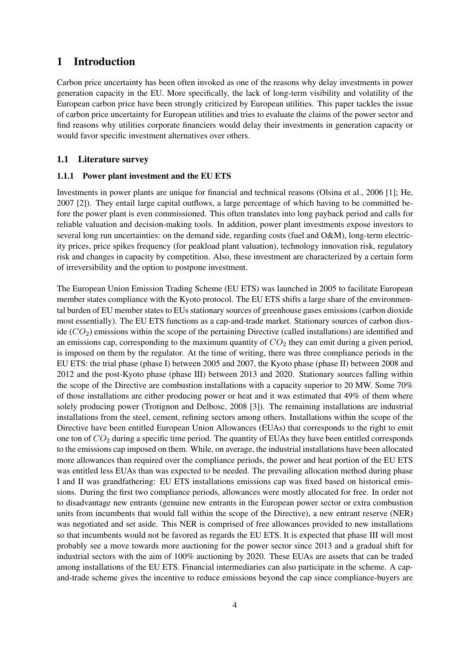## 1 Introduction

Carbon price uncertainty has been often invoked as one of the reasons why delay investments in power generation capacity in the EU. More specifically, the lack of long-term visibility and volatility of the European carbon price have been strongly criticized by European utilities. This paper tackles the issue of carbon price uncertainty for European utilities and tries to evaluate the claims of the power sector and find reasons why utilities corporate financiers would delay their investments in generation capacity or would favor specific investment alternatives over others.

### 1.1 Literature survey

#### 1.1.1 Power plant investment and the EU ETS

Investments in power plants are unique for financial and technical reasons (Olsina et al., 2006 [1]; He, 2007 [2]). They entail large capital outflows, a large percentage of which having to be committed before the power plant is even commissioned. This often translates into long payback period and calls for reliable valuation and decision-making tools. In addition, power plant investments expose investors to several long run uncertainties: on the demand side, regarding costs (fuel and O&M), long-term electricity prices, price spikes frequency (for peakload plant valuation), technology innovation risk, regulatory risk and changes in capacity by competition. Also, these investment are characterized by a certain form of irreversibility and the option to postpone investment.

The European Union Emission Trading Scheme (EU ETS) was launched in 2005 to facilitate European member states compliance with the Kyoto protocol. The EU ETS shifts a large share of the environmental burden of EU member states to EUs stationary sources of greenhouse gases emissions (carbon dioxide most essentially). The EU ETS functions as a cap-and-trade market. Stationary sources of carbon dioxide  $(CO_2)$  emissions within the scope of the pertaining Directive (called installations) are identified and an emissions cap, corresponding to the maximum quantity of  $CO<sub>2</sub>$  they can emit during a given period, is imposed on them by the regulator. At the time of writing, there was three compliance periods in the EU ETS: the trial phase (phase I) between 2005 and 2007, the Kyoto phase (phase II) between 2008 and 2012 and the post-Kyoto phase (phase III) between 2013 and 2020. Stationary sources falling within the scope of the Directive are combustion installations with a capacity superior to 20 MW. Some 70% of those installations are either producing power or heat and it was estimated that 49% of them where solely producing power (Trotignon and Delbosc, 2008 [3]). The remaining installations are industrial installations from the steel, cement, refining sectors among others. Installations within the scope of the Directive have been entitled European Union Allowances (EUAs) that corresponds to the right to emit one ton of  $CO<sub>2</sub>$  during a specific time period. The quantity of EUAs they have been entitled corresponds to the emissions cap imposed on them. While, on average, the industrial installations have been allocated more allowances than required over the compliance periods, the power and heat portion of the EU ETS was entitled less EUAs than was expected to be needed. The prevailing allocation method during phase I and II was grandfathering: EU ETS installations emissions cap was fixed based on historical emissions. During the first two compliance periods, allowances were mostly allocated for free. In order not to disadvantage new entrants (genuine new entrants in the European power sector or extra combustion units from incumbents that would fall within the scope of the Directive), a new entrant reserve (NER) was negotiated and set aside. This NER is comprised of free allowances provided to new installations so that incumbents would not be favored as regards the EU ETS. It is expected that phase III will most probably see a move towards more auctioning for the power sector since 2013 and a gradual shift for industrial sectors with the aim of 100% auctioning by 2020. These EUAs are assets that can be traded among installations of the EU ETS. Financial intermediaries can also participate in the scheme. A capand-trade scheme gives the incentive to reduce emissions beyond the cap since compliance-buyers are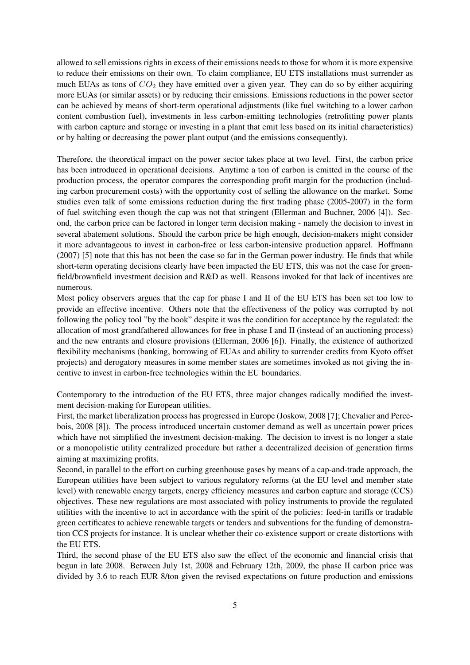allowed to sell emissions rights in excess of their emissions needs to those for whom it is more expensive to reduce their emissions on their own. To claim compliance, EU ETS installations must surrender as much EUAs as tons of  $CO<sub>2</sub>$  they have emitted over a given year. They can do so by either acquiring more EUAs (or similar assets) or by reducing their emissions. Emissions reductions in the power sector can be achieved by means of short-term operational adjustments (like fuel switching to a lower carbon content combustion fuel), investments in less carbon-emitting technologies (retrofitting power plants with carbon capture and storage or investing in a plant that emit less based on its initial characteristics) or by halting or decreasing the power plant output (and the emissions consequently).

Therefore, the theoretical impact on the power sector takes place at two level. First, the carbon price has been introduced in operational decisions. Anytime a ton of carbon is emitted in the course of the production process, the operator compares the corresponding profit margin for the production (including carbon procurement costs) with the opportunity cost of selling the allowance on the market. Some studies even talk of some emissions reduction during the first trading phase (2005-2007) in the form of fuel switching even though the cap was not that stringent (Ellerman and Buchner, 2006 [4]). Second, the carbon price can be factored in longer term decision making - namely the decision to invest in several abatement solutions. Should the carbon price be high enough, decision-makers might consider it more advantageous to invest in carbon-free or less carbon-intensive production apparel. Hoffmann (2007) [5] note that this has not been the case so far in the German power industry. He finds that while short-term operating decisions clearly have been impacted the EU ETS, this was not the case for greenfield/brownfield investment decision and R&D as well. Reasons invoked for that lack of incentives are numerous.

Most policy observers argues that the cap for phase I and II of the EU ETS has been set too low to provide an effective incentive. Others note that the effectiveness of the policy was corrupted by not following the policy tool "by the book" despite it was the condition for acceptance by the regulated: the allocation of most grandfathered allowances for free in phase I and II (instead of an auctioning process) and the new entrants and closure provisions (Ellerman, 2006 [6]). Finally, the existence of authorized flexibility mechanisms (banking, borrowing of EUAs and ability to surrender credits from Kyoto offset projects) and derogatory measures in some member states are sometimes invoked as not giving the incentive to invest in carbon-free technologies within the EU boundaries.

Contemporary to the introduction of the EU ETS, three major changes radically modified the investment decision-making for European utilities.

First, the market liberalization process has progressed in Europe (Joskow, 2008 [7]; Chevalier and Percebois, 2008 [8]). The process introduced uncertain customer demand as well as uncertain power prices which have not simplified the investment decision-making. The decision to invest is no longer a state or a monopolistic utility centralized procedure but rather a decentralized decision of generation firms aiming at maximizing profits.

Second, in parallel to the effort on curbing greenhouse gases by means of a cap-and-trade approach, the European utilities have been subject to various regulatory reforms (at the EU level and member state level) with renewable energy targets, energy efficiency measures and carbon capture and storage (CCS) objectives. These new regulations are most associated with policy instruments to provide the regulated utilities with the incentive to act in accordance with the spirit of the policies: feed-in tariffs or tradable green certificates to achieve renewable targets or tenders and subventions for the funding of demonstration CCS projects for instance. It is unclear whether their co-existence support or create distortions with the EU ETS.

Third, the second phase of the EU ETS also saw the effect of the economic and financial crisis that begun in late 2008. Between July 1st, 2008 and February 12th, 2009, the phase II carbon price was divided by 3.6 to reach EUR 8/ton given the revised expectations on future production and emissions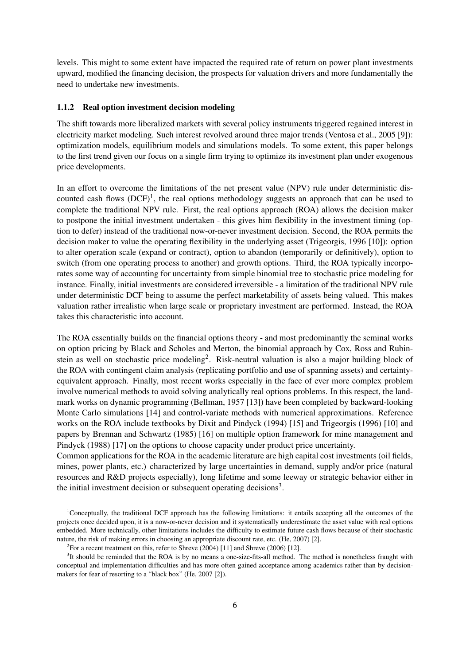levels. This might to some extent have impacted the required rate of return on power plant investments upward, modified the financing decision, the prospects for valuation drivers and more fundamentally the need to undertake new investments.

#### 1.1.2 Real option investment decision modeling

The shift towards more liberalized markets with several policy instruments triggered regained interest in electricity market modeling. Such interest revolved around three major trends (Ventosa et al., 2005 [9]): optimization models, equilibrium models and simulations models. To some extent, this paper belongs to the first trend given our focus on a single firm trying to optimize its investment plan under exogenous price developments.

In an effort to overcome the limitations of the net present value (NPV) rule under deterministic discounted cash flows  $(DCF)^1$ , the real options methodology suggests an approach that can be used to complete the traditional NPV rule. First, the real options approach (ROA) allows the decision maker to postpone the initial investment undertaken - this gives him flexibility in the investment timing (option to defer) instead of the traditional now-or-never investment decision. Second, the ROA permits the decision maker to value the operating flexibility in the underlying asset (Trigeorgis, 1996 [10]): option to alter operation scale (expand or contract), option to abandon (temporarily or definitively), option to switch (from one operating process to another) and growth options. Third, the ROA typically incorporates some way of accounting for uncertainty from simple binomial tree to stochastic price modeling for instance. Finally, initial investments are considered irreversible - a limitation of the traditional NPV rule under deterministic DCF being to assume the perfect marketability of assets being valued. This makes valuation rather irrealistic when large scale or proprietary investment are performed. Instead, the ROA takes this characteristic into account.

The ROA essentially builds on the financial options theory - and most predominantly the seminal works on option pricing by Black and Scholes and Merton, the binomial approach by Cox, Ross and Rubinstein as well on stochastic price modeling<sup>2</sup>. Risk-neutral valuation is also a major building block of the ROA with contingent claim analysis (replicating portfolio and use of spanning assets) and certaintyequivalent approach. Finally, most recent works especially in the face of ever more complex problem involve numerical methods to avoid solving analytically real options problems. In this respect, the landmark works on dynamic programming (Bellman, 1957 [13]) have been completed by backward-looking Monte Carlo simulations [14] and control-variate methods with numerical approximations. Reference works on the ROA include textbooks by Dixit and Pindyck (1994) [15] and Trigeorgis (1996) [10] and papers by Brennan and Schwartz (1985) [16] on multiple option framework for mine management and Pindyck (1988) [17] on the options to choose capacity under product price uncertainty.

Common applications for the ROA in the academic literature are high capital cost investments (oil fields, mines, power plants, etc.) characterized by large uncertainties in demand, supply and/or price (natural resources and R&D projects especially), long lifetime and some leeway or strategic behavior either in the initial investment decision or subsequent operating decisions<sup>3</sup>.

<sup>&</sup>lt;sup>1</sup>Conceptually, the traditional DCF approach has the following limitations: it entails accepting all the outcomes of the projects once decided upon, it is a now-or-never decision and it systematically underestimate the asset value with real options embedded. More technically, other limitations includes the difficulty to estimate future cash flows because of their stochastic nature, the risk of making errors in choosing an appropriate discount rate, etc. (He, 2007) [2].

<sup>&</sup>lt;sup>2</sup> For a recent treatment on this, refer to Shreve  $(2004)$  [11] and Shreve  $(2006)$  [12].

 $3$ It should be reminded that the ROA is by no means a one-size-fits-all method. The method is nonetheless fraught with conceptual and implementation difficulties and has more often gained acceptance among academics rather than by decisionmakers for fear of resorting to a "black box" (He, 2007 [2]).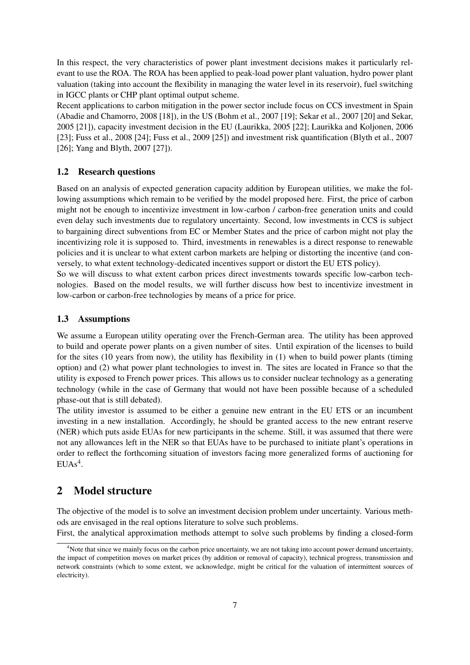In this respect, the very characteristics of power plant investment decisions makes it particularly relevant to use the ROA. The ROA has been applied to peak-load power plant valuation, hydro power plant valuation (taking into account the flexibility in managing the water level in its reservoir), fuel switching in IGCC plants or CHP plant optimal output scheme.

Recent applications to carbon mitigation in the power sector include focus on CCS investment in Spain (Abadie and Chamorro, 2008 [18]), in the US (Bohm et al., 2007 [19]; Sekar et al., 2007 [20] and Sekar, 2005 [21]), capacity investment decision in the EU (Laurikka, 2005 [22]; Laurikka and Koljonen, 2006 [23]; Fuss et al., 2008 [24]; Fuss et al., 2009 [25]) and investment risk quantification (Blyth et al., 2007 [26]; Yang and Blyth, 2007 [27]).

## 1.2 Research questions

Based on an analysis of expected generation capacity addition by European utilities, we make the following assumptions which remain to be verified by the model proposed here. First, the price of carbon might not be enough to incentivize investment in low-carbon / carbon-free generation units and could even delay such investments due to regulatory uncertainty. Second, low investments in CCS is subject to bargaining direct subventions from EC or Member States and the price of carbon might not play the incentivizing role it is supposed to. Third, investments in renewables is a direct response to renewable policies and it is unclear to what extent carbon markets are helping or distorting the incentive (and conversely, to what extent technology-dedicated incentives support or distort the EU ETS policy).

So we will discuss to what extent carbon prices direct investments towards specific low-carbon technologies. Based on the model results, we will further discuss how best to incentivize investment in low-carbon or carbon-free technologies by means of a price for price.

### 1.3 Assumptions

We assume a European utility operating over the French-German area. The utility has been approved to build and operate power plants on a given number of sites. Until expiration of the licenses to build for the sites (10 years from now), the utility has flexibility in (1) when to build power plants (timing option) and (2) what power plant technologies to invest in. The sites are located in France so that the utility is exposed to French power prices. This allows us to consider nuclear technology as a generating technology (while in the case of Germany that would not have been possible because of a scheduled phase-out that is still debated).

The utility investor is assumed to be either a genuine new entrant in the EU ETS or an incumbent investing in a new installation. Accordingly, he should be granted access to the new entrant reserve (NER) which puts aside EUAs for new participants in the scheme. Still, it was assumed that there were not any allowances left in the NER so that EUAs have to be purchased to initiate plant's operations in order to reflect the forthcoming situation of investors facing more generalized forms of auctioning for  $EUAs<sup>4</sup>$ .

## 2 Model structure

The objective of the model is to solve an investment decision problem under uncertainty. Various methods are envisaged in the real options literature to solve such problems.

First, the analytical approximation methods attempt to solve such problems by finding a closed-form

<sup>&</sup>lt;sup>4</sup>Note that since we mainly focus on the carbon price uncertainty, we are not taking into account power demand uncertainty, the impact of competition moves on market prices (by addition or removal of capacity), technical progress, transmission and network constraints (which to some extent, we acknowledge, might be critical for the valuation of intermittent sources of electricity).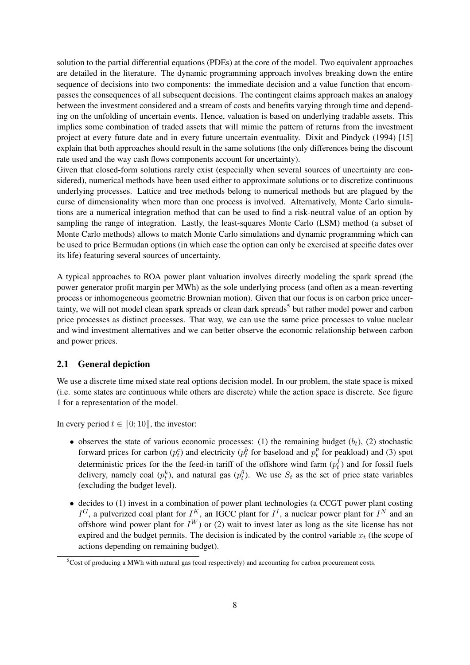solution to the partial differential equations (PDEs) at the core of the model. Two equivalent approaches are detailed in the literature. The dynamic programming approach involves breaking down the entire sequence of decisions into two components: the immediate decision and a value function that encompasses the consequences of all subsequent decisions. The contingent claims approach makes an analogy between the investment considered and a stream of costs and benefits varying through time and depending on the unfolding of uncertain events. Hence, valuation is based on underlying tradable assets. This implies some combination of traded assets that will mimic the pattern of returns from the investment project at every future date and in every future uncertain eventuality. Dixit and Pindyck (1994) [15] explain that both approaches should result in the same solutions (the only differences being the discount rate used and the way cash flows components account for uncertainty).

Given that closed-form solutions rarely exist (especially when several sources of uncertainty are considered), numerical methods have been used either to approximate solutions or to discretize continuous underlying processes. Lattice and tree methods belong to numerical methods but are plagued by the curse of dimensionality when more than one process is involved. Alternatively, Monte Carlo simulations are a numerical integration method that can be used to find a risk-neutral value of an option by sampling the range of integration. Lastly, the least-squares Monte Carlo (LSM) method (a subset of Monte Carlo methods) allows to match Monte Carlo simulations and dynamic programming which can be used to price Bermudan options (in which case the option can only be exercised at specific dates over its life) featuring several sources of uncertainty.

A typical approaches to ROA power plant valuation involves directly modeling the spark spread (the power generator profit margin per MWh) as the sole underlying process (and often as a mean-reverting process or inhomogeneous geometric Brownian motion). Given that our focus is on carbon price uncertainty, we will not model clean spark spreads or clean dark spreads<sup>5</sup> but rather model power and carbon price processes as distinct processes. That way, we can use the same price processes to value nuclear and wind investment alternatives and we can better observe the economic relationship between carbon and power prices.

#### 2.1 General depiction

We use a discrete time mixed state real options decision model. In our problem, the state space is mixed (i.e. some states are continuous while others are discrete) while the action space is discrete. See figure 1 for a representation of the model.

In every period  $t \in [0; 10]$ , the investor:

- observes the state of various economic processes: (1) the remaining budget  $(b_t)$ , (2) stochastic forward prices for carbon  $(p_t^c)$  and electricity  $(p_t^b)$  for baseload and  $p_t^{\bar{p}}$  $t_t^p$  for peakload) and (3) spot deterministic prices for the the feed-in tariff of the offshore wind farm  $(p_t^f)$  $t<sub>t</sub><sup>J</sup>$  and for fossil fuels delivery, namely coal  $(p_t^k)$ , and natural gas  $(p_t^g)$  $t_i^g$ ). We use  $S_t$  as the set of price state variables (excluding the budget level).
- decides to (1) invest in a combination of power plant technologies (a CCGT power plant costing  $I^G$ , a pulverized coal plant for  $I^K$ , an IGCC plant for  $I^I$ , a nuclear power plant for  $I^N$  and an offshore wind power plant for  $I^W$ ) or (2) wait to invest later as long as the site license has not expired and the budget permits. The decision is indicated by the control variable  $x_t$  (the scope of actions depending on remaining budget).

 $5C$ ost of producing a MWh with natural gas (coal respectively) and accounting for carbon procurement costs.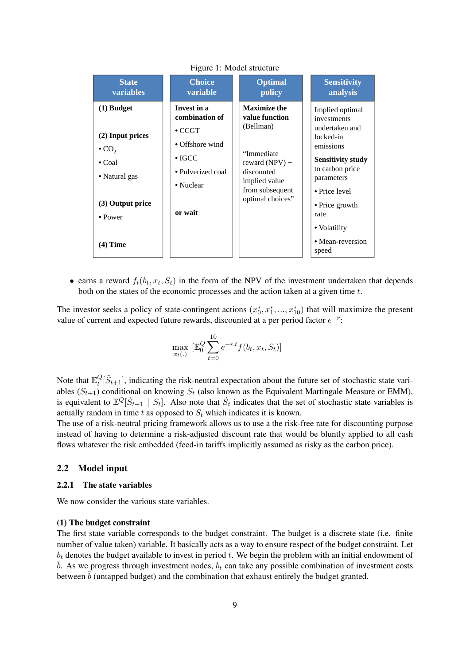| <b>State</b>                                                                                                                                          | <b>Choice</b>                                                                                                                     | <b>Optimal</b>                                                                                                                                             | <b>Sensitivity</b>                                                                                                                                                                                                              |
|-------------------------------------------------------------------------------------------------------------------------------------------------------|-----------------------------------------------------------------------------------------------------------------------------------|------------------------------------------------------------------------------------------------------------------------------------------------------------|---------------------------------------------------------------------------------------------------------------------------------------------------------------------------------------------------------------------------------|
| variables                                                                                                                                             | variable                                                                                                                          | policy                                                                                                                                                     | analysis                                                                                                                                                                                                                        |
| $(1)$ Budget<br>(2) Input prices<br>$\bullet$ CO <sub>2</sub><br>$\bullet$ Coal<br>• Natural gas<br>(3) Output price<br>$\bullet$ Power<br>$(4)$ Time | Invest in a<br>combination of<br>$\bullet$ CCGT<br>• Offshore wind<br>$\bullet$ IGCC<br>• Pulverized coal<br>• Nuclear<br>or wait | <b>Maximize the</b><br>value function<br>(Bellman)<br>"Immediate<br>reward $(NPV) +$<br>discounted<br>implied value<br>from subsequent<br>optimal choices" | Implied optimal<br>investments<br>undertaken and<br>locked-in<br>emissions<br><b>Sensitivity study</b><br>to carbon price<br>parameters<br>• Price level<br>• Price growth<br>rate<br>• Volatility<br>• Mean-reversion<br>speed |

#### Figure 1: Model structure

• earns a reward  $f_t(b_t, x_t, S_t)$  in the form of the NPV of the investment undertaken that depends both on the states of the economic processes and the action taken at a given time t.

The investor seeks a policy of state-contingent actions  $(x_0^*, x_1^*, ..., x_{10}^*)$  that will maximize the present value of current and expected future rewards, discounted at a per period factor  $e^{-r}$ :

$$
\max_{x_t(.)} \; [\mathbb{E}_0^Q \sum_{t=0}^{10} e^{-r \cdot t} f(b_t, x_t, S_t)]
$$

Note that  $\mathbb{E}_t^Q$  $_{t}^{Q}[\tilde{S}_{t+1}]$ , indicating the risk-neutral expectation about the future set of stochastic state variables  $(S_{t+1})$  conditional on knowing  $S_t$  (also known as the Equivalent Martingale Measure or EMM), is equivalent to  $\mathbb{E}^Q[\tilde{S}_{t+1} \mid S_t]$ . Also note that  $\tilde{S}_t$  indicates that the set of stochastic state variables is actually random in time t as opposed to  $S_t$  which indicates it is known.

The use of a risk-neutral pricing framework allows us to use a the risk-free rate for discounting purpose instead of having to determine a risk-adjusted discount rate that would be bluntly applied to all cash flows whatever the risk embedded (feed-in tariffs implicitly assumed as risky as the carbon price).

#### 2.2 Model input

#### 2.2.1 The state variables

We now consider the various state variables.

#### (1) The budget constraint

The first state variable corresponds to the budget constraint. The budget is a discrete state (i.e. finite number of value taken) variable. It basically acts as a way to ensure respect of the budget constraint. Let  $b_t$  denotes the budget available to invest in period  $t$ . We begin the problem with an initial endowment of  $\overline{b}$ . As we progress through investment nodes,  $b_t$  can take any possible combination of investment costs between  $\bar{b}$  (untapped budget) and the combination that exhaust entirely the budget granted.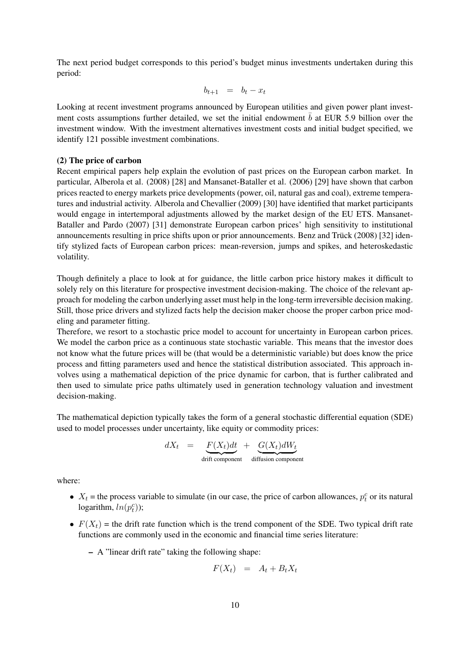The next period budget corresponds to this period's budget minus investments undertaken during this period:

$$
b_{t+1} = b_t - x_t
$$

Looking at recent investment programs announced by European utilities and given power plant investment costs assumptions further detailed, we set the initial endowment  $\bar{b}$  at EUR 5.9 billion over the investment window. With the investment alternatives investment costs and initial budget specified, we identify 121 possible investment combinations.

#### (2) The price of carbon

Recent empirical papers help explain the evolution of past prices on the European carbon market. In particular, Alberola et al. (2008) [28] and Mansanet-Bataller et al. (2006) [29] have shown that carbon prices reacted to energy markets price developments (power, oil, natural gas and coal), extreme temperatures and industrial activity. Alberola and Chevallier (2009) [30] have identified that market participants would engage in intertemporal adjustments allowed by the market design of the EU ETS. Mansanet-Bataller and Pardo (2007) [31] demonstrate European carbon prices' high sensitivity to institutional announcements resulting in price shifts upon or prior announcements. Benz and Trück (2008) [32] identify stylized facts of European carbon prices: mean-reversion, jumps and spikes, and heteroskedastic volatility.

Though definitely a place to look at for guidance, the little carbon price history makes it difficult to solely rely on this literature for prospective investment decision-making. The choice of the relevant approach for modeling the carbon underlying asset must help in the long-term irreversible decision making. Still, those price drivers and stylized facts help the decision maker choose the proper carbon price modeling and parameter fitting.

Therefore, we resort to a stochastic price model to account for uncertainty in European carbon prices. We model the carbon price as a continuous state stochastic variable. This means that the investor does not know what the future prices will be (that would be a deterministic variable) but does know the price process and fitting parameters used and hence the statistical distribution associated. This approach involves using a mathematical depiction of the price dynamic for carbon, that is further calibrated and then used to simulate price paths ultimately used in generation technology valuation and investment decision-making.

The mathematical depiction typically takes the form of a general stochastic differential equation (SDE) used to model processes under uncertainty, like equity or commodity prices:

$$
dX_t = \underbrace{F(X_t)dt}_{\text{drift component}} + \underbrace{G(X_t)dW_t}_{\text{diffusion component}}
$$

where:

- $X_t$  = the process variable to simulate (in our case, the price of carbon allowances,  $p_t^c$  or its natural logarithm,  $ln(p_t^c)$ );
- $F(X_t)$  = the drift rate function which is the trend component of the SDE. Two typical drift rate functions are commonly used in the economic and financial time series literature:
	- A "linear drift rate" taking the following shape:

$$
F(X_t) = A_t + B_t X_t
$$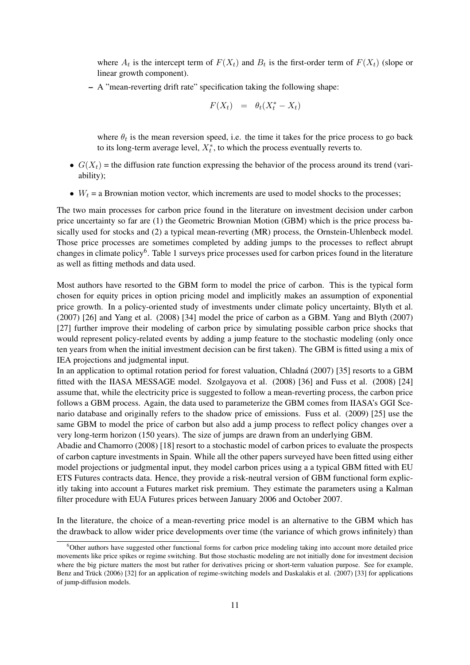where  $A_t$  is the intercept term of  $F(X_t)$  and  $B_t$  is the first-order term of  $F(X_t)$  (slope or linear growth component).

– A "mean-reverting drift rate" specification taking the following shape:

$$
F(X_t) = \theta_t(X_t^* - X_t)
$$

where  $\theta_t$  is the mean reversion speed, i.e. the time it takes for the price process to go back to its long-term average level,  $X_t^*$ , to which the process eventually reverts to.

- $G(X_t)$  = the diffusion rate function expressing the behavior of the process around its trend (variability);
- $W_t$  = a Brownian motion vector, which increments are used to model shocks to the processes;

The two main processes for carbon price found in the literature on investment decision under carbon price uncertainty so far are (1) the Geometric Brownian Motion (GBM) which is the price process basically used for stocks and (2) a typical mean-reverting (MR) process, the Ornstein-Uhlenbeck model. Those price processes are sometimes completed by adding jumps to the processes to reflect abrupt changes in climate policy<sup>6</sup>. Table 1 surveys price processes used for carbon prices found in the literature as well as fitting methods and data used.

Most authors have resorted to the GBM form to model the price of carbon. This is the typical form chosen for equity prices in option pricing model and implicitly makes an assumption of exponential price growth. In a policy-oriented study of investments under climate policy uncertainty, Blyth et al. (2007) [26] and Yang et al. (2008) [34] model the price of carbon as a GBM. Yang and Blyth (2007) [27] further improve their modeling of carbon price by simulating possible carbon price shocks that would represent policy-related events by adding a jump feature to the stochastic modeling (only once ten years from when the initial investment decision can be first taken). The GBM is fitted using a mix of IEA projections and judgmental input.

In an application to optimal rotation period for forest valuation, Chladná (2007) [35] resorts to a GBM fitted with the IIASA MESSAGE model. Szolgayova et al. (2008) [36] and Fuss et al. (2008) [24] assume that, while the electricity price is suggested to follow a mean-reverting process, the carbon price follows a GBM process. Again, the data used to parameterize the GBM comes from IIASA's GGI Scenario database and originally refers to the shadow price of emissions. Fuss et al. (2009) [25] use the same GBM to model the price of carbon but also add a jump process to reflect policy changes over a very long-term horizon (150 years). The size of jumps are drawn from an underlying GBM.

Abadie and Chamorro (2008) [18] resort to a stochastic model of carbon prices to evaluate the prospects of carbon capture investments in Spain. While all the other papers surveyed have been fitted using either model projections or judgmental input, they model carbon prices using a a typical GBM fitted with EU ETS Futures contracts data. Hence, they provide a risk-neutral version of GBM functional form explicitly taking into account a Futures market risk premium. They estimate the parameters using a Kalman filter procedure with EUA Futures prices between January 2006 and October 2007.

In the literature, the choice of a mean-reverting price model is an alternative to the GBM which has the drawback to allow wider price developments over time (the variance of which grows infinitely) than

<sup>&</sup>lt;sup>6</sup>Other authors have suggested other functional forms for carbon price modeling taking into account more detailed price movements like price spikes or regime switching. But those stochastic modeling are not initially done for investment decision where the big picture matters the most but rather for derivatives pricing or short-term valuation purpose. See for example, Benz and Trück (2006) [32] for an application of regime-switching models and Daskalakis et al. (2007) [33] for applications of jump-diffusion models.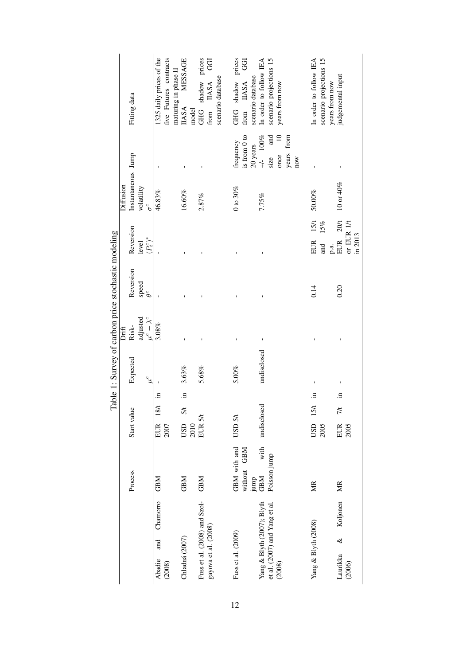|                                                     |           | Fitting data       |            |                     | 1325 daily prices of the  | five Futures contracts | MESSAGE<br>maturing in phase II<br><b>IIASA</b> | model | GHG shadow prices            | <b>GGI</b><br>from IIASA | scenario database | GHG shadow prices<br>GGI<br>from IIASA<br>is from 0 to<br>frequency | scenario database<br>20 years | In order to follow IEA<br>$+/-$ 100% | scenario projections 15<br>and<br>size | years from now<br>$\overline{a}$<br>once | years from | $_{\text{now}}$ | In order to follow IEA | scenario projections 15 | years from now | judgemental input      |            |           |
|-----------------------------------------------------|-----------|--------------------|------------|---------------------|---------------------------|------------------------|-------------------------------------------------|-------|------------------------------|--------------------------|-------------------|---------------------------------------------------------------------|-------------------------------|--------------------------------------|----------------------------------------|------------------------------------------|------------|-----------------|------------------------|-------------------------|----------------|------------------------|------------|-----------|
|                                                     | Diffusion | Instantaneous Jump | volatility | $\sigma^c$          | 46.83%                    |                        | $16.60\%$                                       |       | 2.87%                        |                          |                   | $0$ to $30%$                                                        |                               | 7.75%                                |                                        |                                          |            |                 | 50.00%                 |                         |                | 10 or 40%              |            |           |
|                                                     |           | Reversion          | level      | $(P_t^c)^*$         |                           |                        |                                                 |       |                              |                          |                   |                                                                     |                               |                                      |                                        |                                          |            |                 | 15 <sub>1</sub><br>EUR | 15%<br>nd<br>and        | p.a.           | 20t<br>EUR             | or EUR 1/t | in $2013$ |
| Table 1: Survey of carbon price stochastic modeling |           | Reversion          | speed      | $\theta^c$          |                           |                        |                                                 |       |                              |                          |                   |                                                                     |                               |                                      |                                        |                                          |            |                 | 0.14                   |                         |                | 0.20                   |            |           |
|                                                     | Drift     | Risk-              | adjusted   | $\mu^c - \lambda^c$ | 3.08%                     |                        |                                                 |       |                              |                          |                   |                                                                     |                               | Ţ                                    |                                        |                                          |            |                 |                        |                         |                |                        |            |           |
|                                                     |           | Expected           |            | $\mu^{c}$           |                           |                        | 3.63%                                           |       | 5.68%                        |                          |                   | 5.00%                                                               |                               | undisclosed                          |                                        |                                          |            |                 |                        |                         |                |                        |            |           |
|                                                     |           |                    |            |                     | $\Xi$                     |                        | $\Xi$                                           |       |                              |                          |                   |                                                                     |                               |                                      |                                        |                                          |            |                 | .≊                     |                         |                | .크                     |            |           |
|                                                     |           |                    |            |                     | 18/t                      |                        | $\frac{5}{1}$                                   |       |                              |                          |                   |                                                                     |                               | undisclosed                          |                                        |                                          |            |                 | $USD$ 15/t             |                         |                | $\frac{7}{1}$          |            |           |
|                                                     |           | Start value        |            |                     | EUR                       | 2007                   | <b>CISL</b>                                     | 2010  | EUR <sub>5/t</sub>           |                          |                   | USD 5/t                                                             |                               |                                      |                                        |                                          |            |                 |                        | 2005                    |                | EUR                    | 2005       |           |
|                                                     |           | Process            |            |                     | <b>GBM</b>                |                        | <b>GBM</b>                                      |       | <b>GBM</b>                   |                          |                   | GBM with and<br>without GBM                                         |                               | with<br>NRED<br>CBM                  | Poisson jump                           |                                          |            |                 | МR                     |                         |                | MR                     |            |           |
|                                                     |           |                    |            |                     | Chamorro<br>and<br>Abadie | (2008)                 | Chladná (2007)                                  |       | Fuss et al. (2008) and Szol- | gayova et al. (2008)     |                   | Fuss et al. (2009)                                                  |                               | Yang & Blyth (2007); Blyth           | et al. (2007) and Yang et al.          | (2008)                                   |            |                 | Yang & Blyth (2008)    |                         |                | & Koljonen<br>Laurikka | (2006)     |           |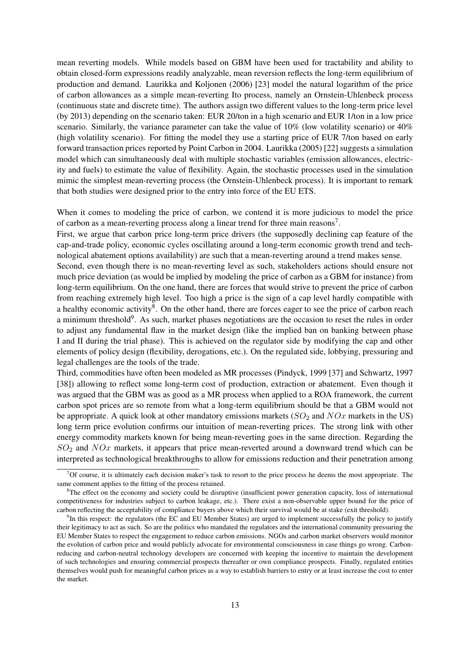mean reverting models. While models based on GBM have been used for tractability and ability to obtain closed-form expressions readily analyzable, mean reversion reflects the long-term equilibrium of production and demand. Laurikka and Koljonen (2006) [23] model the natural logarithm of the price of carbon allowances as a simple mean-reverting Ito process, namely an Ornstein-Uhlenbeck process (continuous state and discrete time). The authors assign two different values to the long-term price level (by 2013) depending on the scenario taken: EUR 20/ton in a high scenario and EUR 1/ton in a low price scenario. Similarly, the variance parameter can take the value of 10% (low volatility scenario) or 40% (high volatility scenario). For fitting the model they use a starting price of EUR 7/ton based on early forward transaction prices reported by Point Carbon in 2004. Laurikka (2005) [22] suggests a simulation model which can simultaneously deal with multiple stochastic variables (emission allowances, electricity and fuels) to estimate the value of flexibility. Again, the stochastic processes used in the simulation mimic the simplest mean-reverting process (the Ornstein-Uhlenbeck process). It is important to remark that both studies were designed prior to the entry into force of the EU ETS.

When it comes to modeling the price of carbon, we contend it is more judicious to model the price of carbon as a mean-reverting process along a linear trend for three main reasons<sup>7</sup>.

First, we argue that carbon price long-term price drivers (the supposedly declining cap feature of the cap-and-trade policy, economic cycles oscillating around a long-term economic growth trend and technological abatement options availability) are such that a mean-reverting around a trend makes sense.

Second, even though there is no mean-reverting level as such, stakeholders actions should ensure not much price deviation (as would be implied by modeling the price of carbon as a GBM for instance) from long-term equilibrium. On the one hand, there are forces that would strive to prevent the price of carbon from reaching extremely high level. Too high a price is the sign of a cap level hardly compatible with a healthy economic activity<sup>8</sup>. On the other hand, there are forces eager to see the price of carbon reach a minimum threshold<sup>9</sup>. As such, market phases negotiations are the occasion to reset the rules in order to adjust any fundamental flaw in the market design (like the implied ban on banking between phase I and II during the trial phase). This is achieved on the regulator side by modifying the cap and other elements of policy design (flexibility, derogations, etc.). On the regulated side, lobbying, pressuring and legal challenges are the tools of the trade.

Third, commodities have often been modeled as MR processes (Pindyck, 1999 [37] and Schwartz, 1997 [38]) allowing to reflect some long-term cost of production, extraction or abatement. Even though it was argued that the GBM was as good as a MR process when applied to a ROA framework, the current carbon spot prices are so remote from what a long-term equilibrium should be that a GBM would not be appropriate. A quick look at other mandatory emissions markets ( $SO_2$  and  $NOx$  markets in the US) long term price evolution confirms our intuition of mean-reverting prices. The strong link with other energy commodity markets known for being mean-reverting goes in the same direction. Regarding the  $SO<sub>2</sub>$  and  $NOx$  markets, it appears that price mean-reverted around a downward trend which can be interpreted as technological breakthroughs to allow for emissions reduction and their penetration among

 $7$ Of course, it is ultimately each decision maker's task to resort to the price process he deems the most appropriate. The same comment applies to the fitting of the process retained.

 ${}^8$ The effect on the economy and society could be disruptive (insufficient power generation capacity, loss of international competitiveness for industries subject to carbon leakage, etc.). There exist a non-observable upper bound for the price of carbon reflecting the acceptability of compliance buyers above which their survival would be at stake (exit threshold).

<sup>&</sup>lt;sup>9</sup>In this respect: the regulators (the EC and EU Member States) are urged to implement successfully the policy to justify their legitimacy to act as such. So are the politics who mandated the regulators and the international community pressuring the EU Member States to respect the engagement to reduce carbon emissions. NGOs and carbon market observers would monitor the evolution of carbon price and would publicly advocate for environmental consciousness in case things go wrong. Carbonreducing and carbon-neutral technology developers are concerned with keeping the incentive to maintain the development of such technologies and ensuring commercial prospects thereafter or own compliance prospects. Finally, regulated entities themselves would push for meaningful carbon prices as a way to establish barriers to entry or at least increase the cost to enter the market.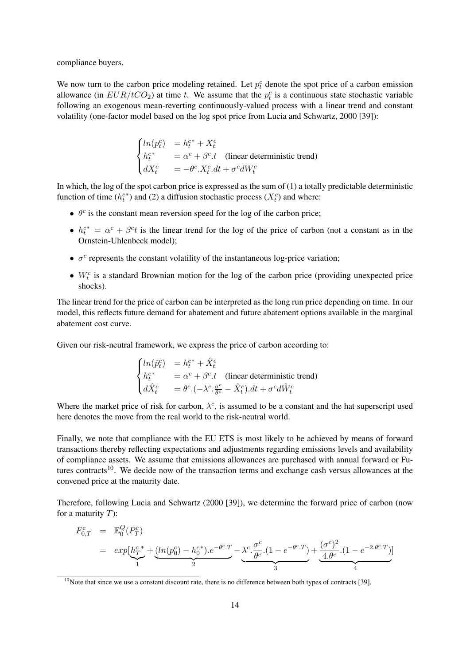compliance buyers.

We now turn to the carbon price modeling retained. Let  $p_t^c$  denote the spot price of a carbon emission allowance (in  $EUR/ tCO_2$ ) at time t. We assume that the  $p_t^c$  is a continuous state stochastic variable following an exogenous mean-reverting continuously-valued process with a linear trend and constant volatility (one-factor model based on the log spot price from Lucia and Schwartz, 2000 [39]):

$$
\begin{cases}\n\ln(p_t^c) &= h_t^{c*} + X_t^c \\
h_t^{c*} &= \alpha^c + \beta^c \cdot t \quad \text{(linear deterministic trend)} \\
dX_t^c &= -\theta^c \cdot X_t^c \cdot dt + \sigma^c dW_t^c\n\end{cases}
$$

In which, the log of the spot carbon price is expressed as the sum of (1) a totally predictable deterministic function of time  $(h_t^{c*})$  and (2) a diffusion stochastic process  $(X_t^c)$  and where:

- $\bullet$   $\theta^c$  is the constant mean reversion speed for the log of the carbon price;
- $h_t^{c*} = \alpha^c + \beta^c t$  is the linear trend for the log of the price of carbon (not a constant as in the Ornstein-Uhlenbeck model);
- $\bullet$   $\sigma^c$  represents the constant volatility of the instantaneous log-price variation;
- $W_t^c$  is a standard Brownian motion for the log of the carbon price (providing unexpected price shocks).

The linear trend for the price of carbon can be interpreted as the long run price depending on time. In our model, this reflects future demand for abatement and future abatement options available in the marginal abatement cost curve.

Given our risk-neutral framework, we express the price of carbon according to:

$$
\begin{cases}\n\ln(\hat{p}_t^c) &= h_t^{c*} + \hat{X}_t^c \\
h_t^{c*} &= \alpha^c + \beta^c \cdot t \quad \text{(linear deterministic trend)} \\
d\hat{X}_t^c &= \theta^c \cdot (-\lambda^c \cdot \frac{\sigma^c}{\theta^c} - \hat{X}_t^c) \cdot dt + \sigma^c d\hat{W}_t^c\n\end{cases}
$$

Where the market price of risk for carbon,  $\lambda^c$ , is assumed to be a constant and the hat superscript used here denotes the move from the real world to the risk-neutral world.

Finally, we note that compliance with the EU ETS is most likely to be achieved by means of forward transactions thereby reflecting expectations and adjustments regarding emissions levels and availability of compliance assets. We assume that emissions allowances are purchased with annual forward or Futures contracts<sup>10</sup>. We decide now of the transaction terms and exchange cash versus allowances at the convened price at the maturity date.

Therefore, following Lucia and Schwartz (2000 [39]), we determine the forward price of carbon (now for a maturity  $T$ :

$$
F_{0,T}^{c} = \mathbb{E}_{0}^{Q}(P_{T}^{c})
$$
  
=  $exp\left[h_{T}^{c*} + \underbrace{(ln(p_{0}^{c}) - h_{0}^{c*}) \cdot e^{-\theta^{c} \cdot T}}_{2} - \underbrace{\lambda^{c} \cdot \frac{\sigma^{c}}{\theta^{c}} \cdot (1 - e^{-\theta^{c} \cdot T})}_{3} + \underbrace{\frac{(\sigma^{c})^{2}}{4 \cdot \theta^{c}} \cdot (1 - e^{-2 \cdot \theta^{c} \cdot T})}_{4}$ 

 $10$ Note that since we use a constant discount rate, there is no difference between both types of contracts [39].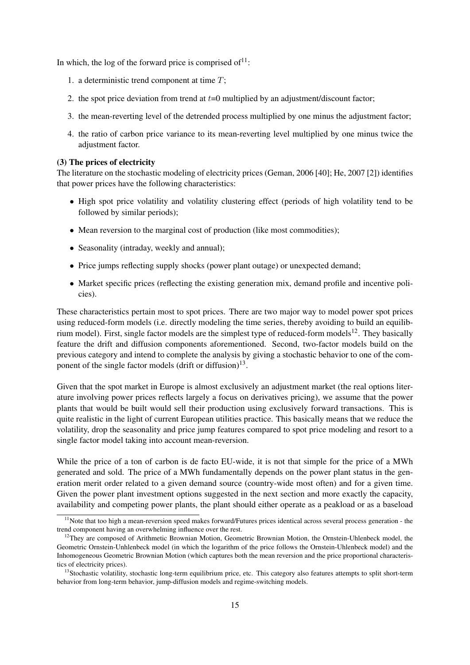In which, the log of the forward price is comprised of  $1!$ :

- 1. a deterministic trend component at time  $T$ ;
- 2. the spot price deviation from trend at  $t=0$  multiplied by an adjustment/discount factor;
- 3. the mean-reverting level of the detrended process multiplied by one minus the adjustment factor;
- 4. the ratio of carbon price variance to its mean-reverting level multiplied by one minus twice the adjustment factor.

#### (3) The prices of electricity

The literature on the stochastic modeling of electricity prices (Geman, 2006 [40]; He, 2007 [2]) identifies that power prices have the following characteristics:

- High spot price volatility and volatility clustering effect (periods of high volatility tend to be followed by similar periods);
- Mean reversion to the marginal cost of production (like most commodities);
- Seasonality (intraday, weekly and annual);
- Price jumps reflecting supply shocks (power plant outage) or unexpected demand;
- Market specific prices (reflecting the existing generation mix, demand profile and incentive policies).

These characteristics pertain most to spot prices. There are two major way to model power spot prices using reduced-form models (i.e. directly modeling the time series, thereby avoiding to build an equilibrium model). First, single factor models are the simplest type of reduced-form models<sup>12</sup>. They basically feature the drift and diffusion components aforementioned. Second, two-factor models build on the previous category and intend to complete the analysis by giving a stochastic behavior to one of the component of the single factor models (drift or diffusion) $^{13}$ .

Given that the spot market in Europe is almost exclusively an adjustment market (the real options literature involving power prices reflects largely a focus on derivatives pricing), we assume that the power plants that would be built would sell their production using exclusively forward transactions. This is quite realistic in the light of current European utilities practice. This basically means that we reduce the volatility, drop the seasonality and price jump features compared to spot price modeling and resort to a single factor model taking into account mean-reversion.

While the price of a ton of carbon is de facto EU-wide, it is not that simple for the price of a MWh generated and sold. The price of a MWh fundamentally depends on the power plant status in the generation merit order related to a given demand source (country-wide most often) and for a given time. Given the power plant investment options suggested in the next section and more exactly the capacity, availability and competing power plants, the plant should either operate as a peakload or as a baseload

 $11$ Note that too high a mean-reversion speed makes forward/Futures prices identical across several process generation - the trend component having an overwhelming influence over the rest.

<sup>&</sup>lt;sup>12</sup>They are composed of Arithmetic Brownian Motion, Geometric Brownian Motion, the Ornstein-Uhlenbeck model, the Geometric Ornstein-Unhlenbeck model (in which the logarithm of the price follows the Ornstein-Uhlenbeck model) and the Inhomogeneous Geometric Brownian Motion (which captures both the mean reversion and the price proportional characteristics of electricity prices).

<sup>&</sup>lt;sup>13</sup>Stochastic volatility, stochastic long-term equilibrium price, etc. This category also features attempts to split short-term behavior from long-term behavior, jump-diffusion models and regime-switching models.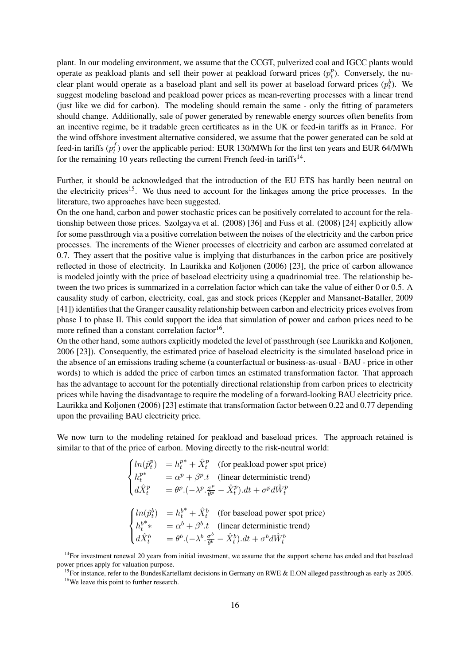plant. In our modeling environment, we assume that the CCGT, pulverized coal and IGCC plants would operate as peakload plants and sell their power at peakload forward prices  $(p_t^p)$  $t_l^p$ ). Conversely, the nuclear plant would operate as a baseload plant and sell its power at baseload forward prices  $(p_t^b)$ . We suggest modeling baseload and peakload power prices as mean-reverting processes with a linear trend (just like we did for carbon). The modeling should remain the same - only the fitting of parameters should change. Additionally, sale of power generated by renewable energy sources often benefits from an incentive regime, be it tradable green certificates as in the UK or feed-in tariffs as in France. For the wind offshore investment alternative considered, we assume that the power generated can be sold at feed-in tariffs  $(p_t^f)$  $t<sub>t</sub><sup>J</sup>$ ) over the applicable period: EUR 130/MWh for the first ten years and EUR 64/MWh for the remaining 10 years reflecting the current French feed-in tariffs<sup>14</sup>.

Further, it should be acknowledged that the introduction of the EU ETS has hardly been neutral on the electricity prices<sup>15</sup>. We thus need to account for the linkages among the price processes. In the literature, two approaches have been suggested.

On the one hand, carbon and power stochastic prices can be positively correlated to account for the relationship between those prices. Szolgayva et al. (2008) [36] and Fuss et al. (2008) [24] explicitly allow for some passthrough via a positive correlation between the noises of the electricity and the carbon price processes. The increments of the Wiener processes of electricity and carbon are assumed correlated at 0.7. They assert that the positive value is implying that disturbances in the carbon price are positively reflected in those of electricity. In Laurikka and Koljonen (2006) [23], the price of carbon allowance is modeled jointly with the price of baseload electricity using a quadrinomial tree. The relationship between the two prices is summarized in a correlation factor which can take the value of either 0 or 0.5. A causality study of carbon, electricity, coal, gas and stock prices (Keppler and Mansanet-Bataller, 2009 [41]) identifies that the Granger causality relationship between carbon and electricity prices evolves from phase I to phase II. This could support the idea that simulation of power and carbon prices need to be more refined than a constant correlation factor<sup>16</sup>.

On the other hand, some authors explicitly modeled the level of passthrough (see Laurikka and Koljonen, 2006 [23]). Consequently, the estimated price of baseload electricity is the simulated baseload price in the absence of an emissions trading scheme (a counterfactual or business-as-usual - BAU - price in other words) to which is added the price of carbon times an estimated transformation factor. That approach has the advantage to account for the potentially directional relationship from carbon prices to electricity prices while having the disadvantage to require the modeling of a forward-looking BAU electricity price. Laurikka and Koljonen (2006) [23] estimate that transformation factor between 0.22 and 0.77 depending upon the prevailing BAU electricity price.

We now turn to the modeling retained for peakload and baseload prices. The approach retained is similar to that of the price of carbon. Moving directly to the risk-neutral world:

$$
\begin{cases}\n\ln(\hat{p}_t^p) &= h_t^{p*} + \hat{X}_t^p \quad \text{(for peakload power spot price)} \\
h_t^{p*} &= \alpha^p + \beta^p.t \quad \text{(linear deterministic trend)} \\
d\hat{X}_t^p &= \theta^p.(-\lambda^p.\frac{\sigma^p}{\theta^p} - \hat{X}_t^p).dt + \sigma^p d\hat{W}_t^p\n\end{cases}
$$
\n
$$
\begin{cases}\n\ln(\hat{p}_t^b) &= h_t^{b*} + \hat{X}_t^b \quad \text{(for baseload power spot price)} \\
h_t^{b*} &= \alpha^b + \beta^b.t \quad \text{(linear deterministic trend)} \\
d\hat{X}_t^b &= \theta^b.(-\lambda^b.\frac{\sigma^b}{\theta^b} - \hat{X}_t^b).dt + \sigma^b d\hat{W}_t^b\n\end{cases}
$$

<sup>&</sup>lt;sup>14</sup>For investment renewal 20 years from initial investment, we assume that the support scheme has ended and that baseload power prices apply for valuation purpose.

<sup>&</sup>lt;sup>15</sup>For instance, refer to the BundesKartellamt decisions in Germany on RWE & E.ON alleged passthrough as early as 2005. <sup>16</sup>We leave this point to further research.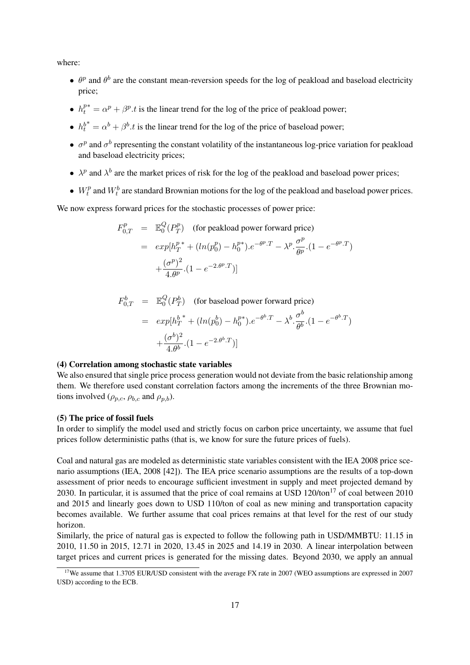where:

- $\theta^p$  and  $\theta^b$  are the constant mean-reversion speeds for the log of peakload and baseload electricity price;
- $\bullet$   $h_t^p$  $t_t^{p*} = \alpha^p + \beta^p \cdot t$  is the linear trend for the log of the price of peakload power;
- $h_t^{b*} = \alpha^b + \beta^b \cdot t$  is the linear trend for the log of the price of baseload power;
- $\sigma^p$  and  $\sigma^b$  representing the constant volatility of the instantaneous log-price variation for peakload and baseload electricity prices;
- $\lambda^p$  and  $\lambda^b$  are the market prices of risk for the log of the peakload and baseload power prices;
- $W_t^p$  $t_t^p$  and  $W_t^b$  are standard Brownian motions for the log of the peakload and baseload power prices.

We now express forward prices for the stochastic processes of power price:

$$
F_{0,T}^p = \mathbb{E}_0^Q(P_T^p)
$$
 (for peakload power forward price)  
=  $exp[h_T^{p*} + (ln(p_0^p) - h_0^{p*}) \cdot e^{-\theta^p \cdot T} - \lambda^p \cdot \frac{\sigma^p}{\theta^p} \cdot (1 - e^{-\theta^p \cdot T})$   
+  $\frac{(\sigma^p)^2}{4 \cdot \theta^p} \cdot (1 - e^{-2 \cdot \theta^p \cdot T})$ ]

$$
F_{0,T}^b = \mathbb{E}_0^Q(P_T^b)
$$
 (for baseball power forward price)

$$
= exp[h_T^{b*} + (ln(p_0^b) - h_0^{p*}) \cdot e^{-\theta^b \cdot T} - \lambda^b \cdot \frac{\sigma^b}{\theta^b} \cdot (1 - e^{-\theta^b \cdot T})
$$

$$
+ \frac{(\sigma^b)^2}{4 \cdot \theta^b} \cdot (1 - e^{-2 \cdot \theta^b \cdot T})]
$$

#### (4) Correlation among stochastic state variables

We also ensured that single price process generation would not deviate from the basic relationship among them. We therefore used constant correlation factors among the increments of the three Brownian motions involved ( $\rho_{p,c}, \rho_{b,c}$  and  $\rho_{p,b}$ ).

#### (5) The price of fossil fuels

In order to simplify the model used and strictly focus on carbon price uncertainty, we assume that fuel prices follow deterministic paths (that is, we know for sure the future prices of fuels).

Coal and natural gas are modeled as deterministic state variables consistent with the IEA 2008 price scenario assumptions (IEA, 2008 [42]). The IEA price scenario assumptions are the results of a top-down assessment of prior needs to encourage sufficient investment in supply and meet projected demand by 2030. In particular, it is assumed that the price of coal remains at USD  $120/ton<sup>17</sup>$  of coal between 2010 and 2015 and linearly goes down to USD 110/ton of coal as new mining and transportation capacity becomes available. We further assume that coal prices remains at that level for the rest of our study horizon.

Similarly, the price of natural gas is expected to follow the following path in USD/MMBTU: 11.15 in 2010, 11.50 in 2015, 12.71 in 2020, 13.45 in 2025 and 14.19 in 2030. A linear interpolation between target prices and current prices is generated for the missing dates. Beyond 2030, we apply an annual

<sup>&</sup>lt;sup>17</sup>We assume that 1.3705 EUR/USD consistent with the average FX rate in 2007 (WEO assumptions are expressed in 2007 USD) according to the ECB.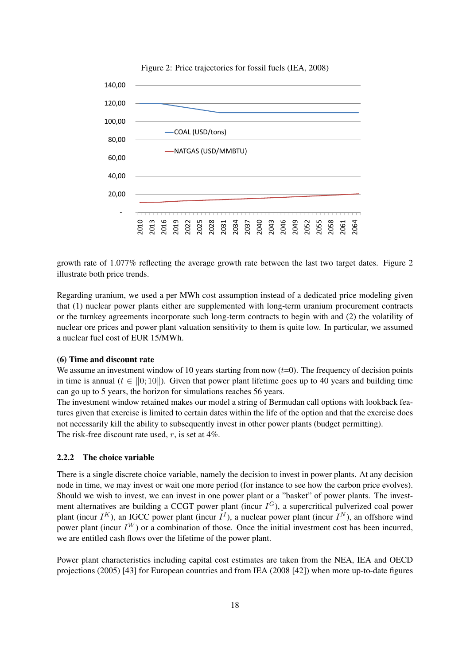

Figure 2: Price trajectories for fossil fuels (IEA, 2008)

growth rate of 1.077% reflecting the average growth rate between the last two target dates. Figure 2 illustrate both price trends.

Regarding uranium, we used a per MWh cost assumption instead of a dedicated price modeling given that (1) nuclear power plants either are supplemented with long-term uranium procurement contracts or the turnkey agreements incorporate such long-term contracts to begin with and (2) the volatility of nuclear ore prices and power plant valuation sensitivity to them is quite low. In particular, we assumed a nuclear fuel cost of EUR 15/MWh.

## (6) Time and discount rate

We assume an investment window of 10 years starting from now  $(t=0)$ . The frequency of decision points in time is annual  $(t \in ||0, 10||)$ . Given that power plant lifetime goes up to 40 years and building time can go up to 5 years, the horizon for simulations reaches 56 years.

The investment window retained makes our model a string of Bermudan call options with lookback features given that exercise is limited to certain dates within the life of the option and that the exercise does not necessarily kill the ability to subsequently invest in other power plants (budget permitting). The risk-free discount rate used,  $r$ , is set at  $4\%$ .

#### 2.2.2 The choice variable

There is a single discrete choice variable, namely the decision to invest in power plants. At any decision node in time, we may invest or wait one more period (for instance to see how the carbon price evolves). Should we wish to invest, we can invest in one power plant or a "basket" of power plants. The investment alternatives are building a CCGT power plant (incur  $I^G$ ), a supercritical pulverized coal power plant (incur  $I^K$ ), an IGCC power plant (incur  $I^I$ ), a nuclear power plant (incur  $I^N$ ), an offshore wind power plant (incur  $I^W$ ) or a combination of those. Once the initial investment cost has been incurred, we are entitled cash flows over the lifetime of the power plant.

Power plant characteristics including capital cost estimates are taken from the NEA, IEA and OECD projections (2005) [43] for European countries and from IEA (2008 [42]) when more up-to-date figures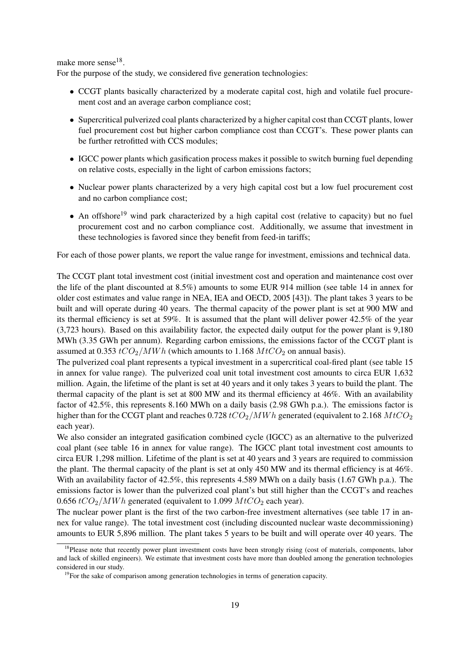make more sense<sup>18</sup>.

For the purpose of the study, we considered five generation technologies:

- CCGT plants basically characterized by a moderate capital cost, high and volatile fuel procurement cost and an average carbon compliance cost;
- Supercritical pulverized coal plants characterized by a higher capital cost than CCGT plants, lower fuel procurement cost but higher carbon compliance cost than CCGT's. These power plants can be further retrofitted with CCS modules;
- IGCC power plants which gasification process makes it possible to switch burning fuel depending on relative costs, especially in the light of carbon emissions factors;
- Nuclear power plants characterized by a very high capital cost but a low fuel procurement cost and no carbon compliance cost;
- An offshore<sup>19</sup> wind park characterized by a high capital cost (relative to capacity) but no fuel procurement cost and no carbon compliance cost. Additionally, we assume that investment in these technologies is favored since they benefit from feed-in tariffs;

For each of those power plants, we report the value range for investment, emissions and technical data.

The CCGT plant total investment cost (initial investment cost and operation and maintenance cost over the life of the plant discounted at 8.5%) amounts to some EUR 914 million (see table 14 in annex for older cost estimates and value range in NEA, IEA and OECD, 2005 [43]). The plant takes 3 years to be built and will operate during 40 years. The thermal capacity of the power plant is set at 900 MW and its thermal efficiency is set at 59%. It is assumed that the plant will deliver power 42.5% of the year (3,723 hours). Based on this availability factor, the expected daily output for the power plant is 9,180 MWh (3.35 GWh per annum). Regarding carbon emissions, the emissions factor of the CCGT plant is assumed at 0.353  $tCO_2/MWh$  (which amounts to 1.168  $MtCO_2$  on annual basis).

The pulverized coal plant represents a typical investment in a supercritical coal-fired plant (see table 15 in annex for value range). The pulverized coal unit total investment cost amounts to circa EUR 1,632 million. Again, the lifetime of the plant is set at 40 years and it only takes 3 years to build the plant. The thermal capacity of the plant is set at 800 MW and its thermal efficiency at 46%. With an availability factor of 42.5%, this represents 8.160 MWh on a daily basis (2.98 GWh p.a.). The emissions factor is higher than for the CCGT plant and reaches  $0.728$  tCO<sub>2</sub>/MWh generated (equivalent to 2.168 MtCO<sub>2</sub> each year).

We also consider an integrated gasification combined cycle (IGCC) as an alternative to the pulverized coal plant (see table 16 in annex for value range). The IGCC plant total investment cost amounts to circa EUR 1,298 million. Lifetime of the plant is set at 40 years and 3 years are required to commission the plant. The thermal capacity of the plant is set at only 450 MW and its thermal efficiency is at 46%. With an availability factor of 42.5%, this represents 4.589 MWh on a daily basis (1.67 GWh p.a.). The emissions factor is lower than the pulverized coal plant's but still higher than the CCGT's and reaches  $0.656$   $tCO_2/MWh$  generated (equivalent to 1.099  $MtCO_2$  each year).

The nuclear power plant is the first of the two carbon-free investment alternatives (see table 17 in annex for value range). The total investment cost (including discounted nuclear waste decommissioning) amounts to EUR 5,896 million. The plant takes 5 years to be built and will operate over 40 years. The

 $18$ Please note that recently power plant investment costs have been strongly rising (cost of materials, components, labor and lack of skilled engineers). We estimate that investment costs have more than doubled among the generation technologies considered in our study.

<sup>&</sup>lt;sup>19</sup>For the sake of comparison among generation technologies in terms of generation capacity.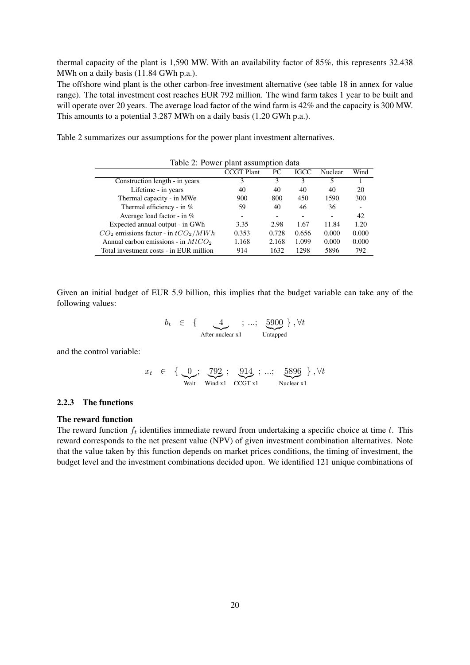thermal capacity of the plant is 1,590 MW. With an availability factor of 85%, this represents 32.438 MWh on a daily basis (11.84 GWh p.a.).

The offshore wind plant is the other carbon-free investment alternative (see table 18 in annex for value range). The total investment cost reaches EUR 792 million. The wind farm takes 1 year to be built and will operate over 20 years. The average load factor of the wind farm is  $42\%$  and the capacity is 300 MW. This amounts to a potential 3.287 MWh on a daily basis (1.20 GWh p.a.).

Table 2 summarizes our assumptions for the power plant investment alternatives.

| Table 2: Power plant assumption data    |                   |       |             |         |       |  |
|-----------------------------------------|-------------------|-------|-------------|---------|-------|--|
|                                         | <b>CCGT</b> Plant | PC.   | <b>IGCC</b> | Nuclear | Wind  |  |
| Construction length - in years          | 3                 | 3     | 3           | 5       |       |  |
| Lifetime - in years                     | 40                | 40    | 40          | 40      | 20    |  |
| Thermal capacity - in MWe               | 900               | 800   | 450         | 1590    | 300   |  |
| Thermal efficiency - in $%$             | 59                | 40    | 46          | 36      |       |  |
| Average load factor - in $%$            |                   |       |             |         | 42    |  |
| Expected annual output - in GWh         | 3.35              | 2.98  | 1.67        | 11.84   | 1.20  |  |
| $CO2$ emissions factor - in $tCO2/MWh$  | 0.353             | 0.728 | 0.656       | 0.000   | 0.000 |  |
| Annual carbon emissions - in $MtCO2$    | 1.168             | 2.168 | 1.099       | 0.000   | 0.000 |  |
| Total investment costs - in EUR million | 914               | 1632  | 1298        | 5896    | 792   |  |

Given an initial budget of EUR 5.9 billion, this implies that the budget variable can take any of the following values:

$$
b_t \in \left\{ \underbrace{4}_{\text{After nuclear x1}}; \dots; \underbrace{5900}_{\text{Untapped}} \right\}, \forall t
$$

and the control variable:

$$
x_t \in \left\{ \underbrace{0}_{\text{Wait}}; \underbrace{792}_{\text{Wait}}; \underbrace{914}_{\text{CCGT x1}}; \dots; \underbrace{5896}_{\text{Nuclear x1}} \right\}, \forall t
$$

#### 2.2.3 The functions

#### The reward function

The reward function  $f_t$  identifies immediate reward from undertaking a specific choice at time  $t$ . This reward corresponds to the net present value (NPV) of given investment combination alternatives. Note that the value taken by this function depends on market prices conditions, the timing of investment, the budget level and the investment combinations decided upon. We identified 121 unique combinations of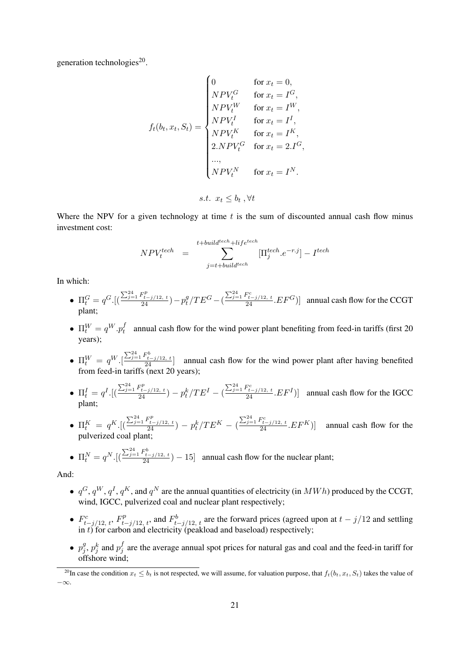generation technologies<sup>20</sup>.

$$
f_t(b_t, x_t, S_t) = \begin{cases} 0 & \text{for } x_t = 0, \\ NPV_t^G & \text{for } x_t = I^G, \\ NPV_t^W & \text{for } x_t = I^W, \\ NPV_t^I & \text{for } x_t = I^I, \\ NPV_t^K & \text{for } x_t = I^K, \\ 2.NPV_t^G & \text{for } x_t = 2.I^G, \\ ..., \\ NPV_t^N & \text{for } x_t = I^N. \end{cases}
$$
  
s.t.  $x_t \le b_t, \forall t$ 

Where the NPV for a given technology at time  $t$  is the sum of discounted annual cash flow minus investment cost:

$$
NPV_t^{tech} = \sum_{j=t+build^{tech} \atop j=t+build^{tech} \atop j=t+build^{tech} \atop k \neq 0}^{t+ceil} [\Pi_j^{tech}.e^{-r.j}] - I^{tech}
$$

In which:

- $\Pi_t^G = q^G \cdot \left[ \left( \frac{\sum_{j=1}^{24} F_{t-j/12, t}^p}{24} \right) p_t^g \right]$  $\frac{g}{t}/TE^G - (\frac{\sum_{j=1}^{24} F_{t-j/12, t}^c}{24} . EF^G)]$  annual cash flow for the CCGT plant;
- $\Pi^W_t = q^W.p^f_t$  $t_t$  annual cash flow for the wind power plant benefiting from feed-in tariffs (first 20 years);
- $\Pi_t^W = q^W \cdot \left[\frac{\sum_{j=1}^{24} F_{t-j/12, t}^b}{24}\right]$  annual cash flow for the wind power plant after having benefited from feed-in tariffs (next 20 years);
- $\Pi_t^I = q^I \cdot \left[ \left( \frac{\sum_{j=1}^{24} F_{t-j/12, t}^p}{24} \right) p_t^k / TE^I \left( \frac{\sum_{j=1}^{24} F_{t-j/12, t}^c}{24} . EF^I \right) \right]$  annual cash flow for the IGCC plant;
- $\Pi_t^K = q^K \cdot \left[ \left( \frac{\sum_{j=1}^{24} F_{t-j/12, t}^p}{24} \right) p_t^k / TE^K \left( \frac{\sum_{j=1}^{24} F_{t-j/12, t}^c}{24} . EF^K \right) \right]$  annual cash flow for the pulverized coal plant;

• 
$$
\Pi_t^N = q^N \cdot \left[ \left( \frac{\sum_{j=1}^{24} F_{t-j/12, t}^b}{24} \right) - 15 \right]
$$
 annual cash flow for the nuclear plant;

And:

- $q^G, q^W, q^I, q^K$ , and  $q^N$  are the annual quantities of electricity (in  $MWh$ ) produced by the CCGT, wind, IGCC, pulverized coal and nuclear plant respectively;
- $F_{t-j/12, t}^c$ ,  $F_{t-j/12, t}^p$ , and  $F_{t-j/12, t}^b$  are the forward prices (agreed upon at  $t-j/12$  and settling in t) for carbon and electricity (peakload and baseload) respectively;
- $\bullet\ p_i^g$  $j^g$ ,  $p_j^k$  and  $p_j^f$  $j$  are the average annual spot prices for natural gas and coal and the feed-in tariff for offshore wind;

<sup>&</sup>lt;sup>20</sup>In case the condition  $x_t \leq b_t$  is not respected, we will assume, for valuation purpose, that  $f_t(b_t, x_t, S_t)$  takes the value of −∞.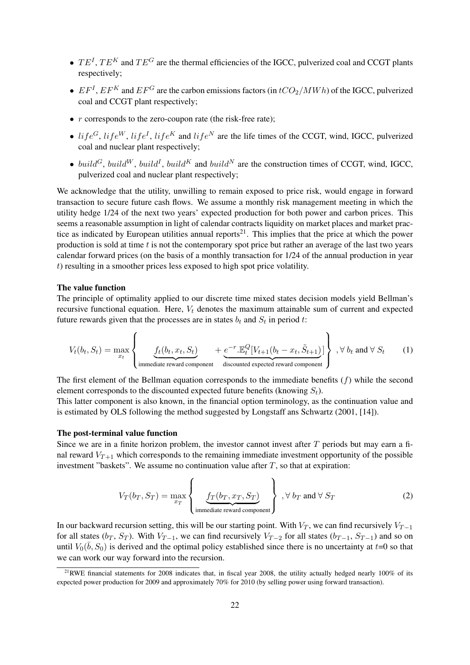- $\bullet$   $TE^{I}$ ,  $TE^{K}$  and  $TE^{G}$  are the thermal efficiencies of the IGCC, pulverized coal and CCGT plants respectively;
- $EF^{I}$ ,  $EF^{K}$  and  $EF^{G}$  are the carbon emissions factors (in  $tCO_{2}/MWh$ ) of the IGCC, pulverized coal and CCGT plant respectively;
- $r$  corresponds to the zero-coupon rate (the risk-free rate);
- $life^G$ ,  $life^W$ ,  $life^I$ ,  $life^K$  and  $life^N$  are the life times of the CCGT, wind, IGCC, pulverized coal and nuclear plant respectively;
- build<sup>G</sup>, build<sup>W</sup>, build<sup>I</sup>, build<sup>K</sup> and build<sup>N</sup> are the construction times of CCGT, wind, IGCC, pulverized coal and nuclear plant respectively;

We acknowledge that the utility, unwilling to remain exposed to price risk, would engage in forward transaction to secure future cash flows. We assume a monthly risk management meeting in which the utility hedge 1/24 of the next two years' expected production for both power and carbon prices. This seems a reasonable assumption in light of calendar contracts liquidity on market places and market practice as indicated by European utilities annual reports<sup>21</sup>. This implies that the price at which the power production is sold at time  $t$  is not the contemporary spot price but rather an average of the last two years calendar forward prices (on the basis of a monthly transaction for 1/24 of the annual production in year t) resulting in a smoother prices less exposed to high spot price volatility.

#### The value function

The principle of optimality applied to our discrete time mixed states decision models yield Bellman's recursive functional equation. Here,  $V_t$  denotes the maximum attainable sum of current and expected future rewards given that the processes are in states  $b_t$  and  $S_t$  in period t:

$$
V_t(b_t, S_t) = \max_{x_t} \left\{ \underbrace{f_t(b_t, x_t, S_t)}_{\text{immediate reward component}} + \underbrace{e^{-r} \cdot \mathbb{E}_t^Q[V_{t+1}(b_t - x_t, \tilde{S}_{t+1})]}_{\text{discounted expected reward component}} \right\}, \forall b_t \text{ and } \forall S_t \quad (1)
$$

The first element of the Bellman equation corresponds to the immediate benefits  $(f)$  while the second element corresponds to the discounted expected future benefits (knowing  $S_t$ ).

This latter component is also known, in the financial option terminology, as the continuation value and is estimated by OLS following the method suggested by Longstaff ans Schwartz (2001, [14]).

#### The post-terminal value function

Since we are in a finite horizon problem, the investor cannot invest after  $T$  periods but may earn a final reward  $V_{T+1}$  which corresponds to the remaining immediate investment opportunity of the possible investment "baskets". We assume no continuation value after  $T$ , so that at expiration:

$$
V_T(b_T, S_T) = \max_{x_T} \left\{ \underbrace{f_T(b_T, x_T, S_T)}_{\text{immediate reward component}} \right\}, \forall b_T \text{ and } \forall S_T \tag{2}
$$

In our backward recursion setting, this will be our starting point. With  $V_T$ , we can find recursively  $V_{T-1}$ for all states ( $b_T$ ,  $S_T$ ). With  $V_{T-1}$ , we can find recursively  $V_{T-2}$  for all states ( $b_{T-1}$ ,  $S_{T-1}$ ) and so on until  $V_0(\bar{b}, S_0)$  is derived and the optimal policy established since there is no uncertainty at  $t=0$  so that we can work our way forward into the recursion.

<sup>&</sup>lt;sup>21</sup>RWE financial statements for 2008 indicates that, in fiscal year 2008, the utility actually hedged nearly  $100\%$  of its expected power production for 2009 and approximately 70% for 2010 (by selling power using forward transaction).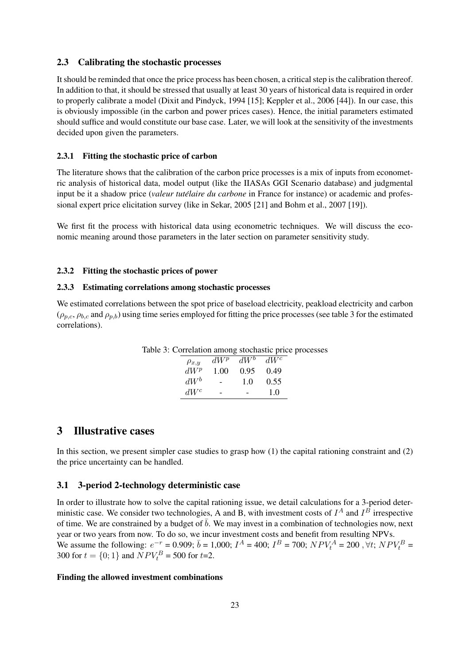### 2.3 Calibrating the stochastic processes

It should be reminded that once the price process has been chosen, a critical step is the calibration thereof. In addition to that, it should be stressed that usually at least 30 years of historical data is required in order to properly calibrate a model (Dixit and Pindyck, 1994 [15]; Keppler et al., 2006 [44]). In our case, this is obviously impossible (in the carbon and power prices cases). Hence, the initial parameters estimated should suffice and would constitute our base case. Later, we will look at the sensitivity of the investments decided upon given the parameters.

#### 2.3.1 Fitting the stochastic price of carbon

The literature shows that the calibration of the carbon price processes is a mix of inputs from econometric analysis of historical data, model output (like the IIASAs GGI Scenario database) and judgmental input be it a shadow price (*valeur tutélaire du carbone* in France for instance) or academic and professional expert price elicitation survey (like in Sekar, 2005 [21] and Bohm et al., 2007 [19]).

We first fit the process with historical data using econometric techniques. We will discuss the economic meaning around those parameters in the later section on parameter sensitivity study.

#### 2.3.2 Fitting the stochastic prices of power

#### 2.3.3 Estimating correlations among stochastic processes

We estimated correlations between the spot price of baseload electricity, peakload electricity and carbon  $(\rho_{p,c}, \rho_{b,c}$  and  $\rho_{p,b})$  using time series employed for fitting the price processes (see table 3 for the estimated correlations).

| Table 3: Correlation among stochastic price processes |  |  |
|-------------------------------------------------------|--|--|
|                                                       |  |  |

| $\rho_{x,y}$ | $dW^p$ | $dW^b$ | $dW^c$ |
|--------------|--------|--------|--------|
| $dW^p$       | 1.00   | 0.95   | 0.49   |
| $dW^b$       |        | 1.0    | 0.55   |
| $dW^c$       |        |        | 1.0    |

## 3 Illustrative cases

In this section, we present simpler case studies to grasp how (1) the capital rationing constraint and (2) the price uncertainty can be handled.

#### 3.1 3-period 2-technology deterministic case

In order to illustrate how to solve the capital rationing issue, we detail calculations for a 3-period deterministic case. We consider two technologies, A and B, with investment costs of  $I^A$  and  $I^B$  irrespective of time. We are constrained by a budget of  $\bar{b}$ . We may invest in a combination of technologies now, next year or two years from now. To do so, we incur investment costs and benefit from resulting NPVs. We assume the following:  $e^{-r} = 0.909$ ;  $\bar{b} = 1,000$ ;  $I^A = 400$ ;  $I^B = 700$ ;  $NPV_t^A = 200$ ,  $\forall t$ ;  $NPV_t^B =$ 300 for  $t = \{0, 1\}$  and  $NPV_t^B = 500$  for  $t=2$ .

#### Finding the allowed investment combinations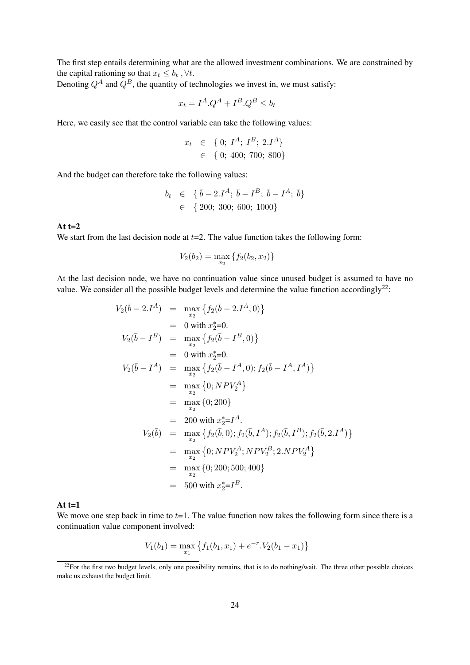The first step entails determining what are the allowed investment combinations. We are constrained by the capital rationing so that  $x_t \leq b_t$ ,  $\forall t$ .

Denoting  $Q^A$  and  $\overline{Q}^B$ , the quantity of technologies we invest in, we must satisfy:

$$
x_t = I^A \cdot Q^A + I^B \cdot Q^B \le b_t
$$

Here, we easily see that the control variable can take the following values:

$$
x_t \in \{0; I^A; I^B; 2.I^A\} \in \{0; 400; 700; 800\}
$$

And the budget can therefore take the following values:

$$
b_t \in \{ \bar{b} - 2 \cdot I^A; \bar{b} - I^B; \bar{b} - I^A; \bar{b} \}
$$
  

$$
\in \{ 200; 300; 600; 1000 \}
$$

## At  $t=2$

We start from the last decision node at  $t=2$ . The value function takes the following form:

$$
V_2(b_2) = \max_{x_2} \{f_2(b_2, x_2)\}\
$$

At the last decision node, we have no continuation value since unused budget is assumed to have no value. We consider all the possible budget levels and determine the value function accordingly<sup>22</sup>:

$$
V_2(\bar{b} - 2I^A) = \max_{x_2} \{f_2(\bar{b} - 2I^A, 0)\}
$$
  
\n
$$
= 0 \text{ with } x_2^* = 0.
$$
  
\n
$$
V_2(\bar{b} - I^B) = \max_{x_2} \{f_2(\bar{b} - I^B, 0)\}
$$
  
\n
$$
= 0 \text{ with } x_2^* = 0.
$$
  
\n
$$
V_2(\bar{b} - I^A) = \max_{x_2} \{f_2(\bar{b} - I^A, 0); f_2(\bar{b} - I^A, I^A)\}
$$
  
\n
$$
= \max_{x_2} \{0; NPV_2^A\}
$$
  
\n
$$
= \max_{x_2} \{0; 200\}
$$
  
\n
$$
= 200 \text{ with } x_2^* = I^A.
$$
  
\n
$$
V_2(\bar{b}) = \max_{x_2} \{f_2(\bar{b}, 0); f_2(\bar{b}, I^A); f_2(\bar{b}, I^B); f_2(\bar{b}, 2. I^A)\}
$$
  
\n
$$
= \max_{x_2} \{0; NPV_2^A; NPV_2^B; 2. NPV_2^A\}
$$
  
\n
$$
= \max_{x_2} \{0; 200; 500; 400\}
$$
  
\n
$$
= 500 \text{ with } x_2^* = I^B.
$$

#### At  $t=1$

We move one step back in time to  $t=1$ . The value function now takes the following form since there is a continuation value component involved:

$$
V_1(b_1) = \max_{x_1} \{ f_1(b_1, x_1) + e^{-r} \cdot V_2(b_1 - x_1) \}
$$

 $22$ For the first two budget levels, only one possibility remains, that is to do nothing/wait. The three other possible choices make us exhaust the budget limit.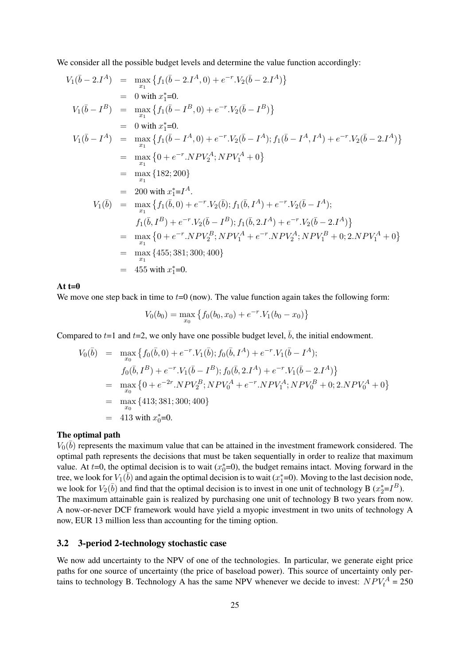We consider all the possible budget levels and determine the value function accordingly:

$$
V_{1}(\bar{b} - 2I^{A}) = \max_{x_{1}} \{f_{1}(\bar{b} - 2I^{A}, 0) + e^{-r} \cdot V_{2}(\bar{b} - 2I^{A})\}
$$
  
\n= 0 with  $x_{1}^{*} = 0$ .  
\n
$$
V_{1}(\bar{b} - I^{B}) = \max_{x_{1}} \{f_{1}(\bar{b} - I^{B}, 0) + e^{-r} \cdot V_{2}(\bar{b} - I^{B})\}
$$
  
\n= 0 with  $x_{1}^{*} = 0$ .  
\n
$$
V_{1}(\bar{b} - I^{A}) = \max_{x_{1}} \{f_{1}(\bar{b} - I^{A}, 0) + e^{-r} \cdot V_{2}(\bar{b} - I^{A}) ; f_{1}(\bar{b} - I^{A}, I^{A}) + e^{-r} \cdot V_{2}(\bar{b} - 2I^{A})\}
$$
  
\n= max  $\{0 + e^{-r} \cdot NPV_{2}^{A}; NPV_{1}^{A} + 0\}$   
\n= max  $\{182; 200\}$   
\n= 200 with  $x_{1}^{*} = I^{A}$ .  
\n
$$
V_{1}(\bar{b}) = \max_{x_{1}} \{f_{1}(\bar{b}, 0) + e^{-r} \cdot V_{2}(\bar{b}) ; f_{1}(\bar{b}, I^{A}) + e^{-r} \cdot V_{2}(\bar{b} - I^{A}) ;
$$
  
\n
$$
f_{1}(\bar{b}, I^{B}) + e^{-r} \cdot V_{2}(\bar{b} - I^{B}) ; f_{1}(\bar{b}, 2I^{A}) + e^{-r} \cdot V_{2}(\bar{b} - 2I^{A})\}
$$
  
\n= max  $\{0 + e^{-r} \cdot NPV_{2}^{B}; NPV_{1}^{A} + e^{-r} \cdot NPV_{2}^{A}; NPV_{1}^{B} + 0; 2.NPN_{1}^{A} + 0\}$   
\n= max  $\{455; 381; 300; 400\}$   
\n= 455 with  $x_{1}^{*} = 0$ .

#### At  $t=0$

We move one step back in time to  $t=0$  (now). The value function again takes the following form:

$$
V_0(b_0) = \max_{x_0} \{ f_0(b_0, x_0) + e^{-r} . V_1(b_0 - x_0) \}
$$

Compared to  $t=1$  and  $t=2$ , we only have one possible budget level,  $\overline{b}$ , the initial endowment.

$$
V_0(\bar{b}) = \max_{x_0} \{ f_0(\bar{b}, 0) + e^{-r} \cdot V_1(\bar{b}); f_0(\bar{b}, I^A) + e^{-r} \cdot V_1(\bar{b} - I^A); \nf_0(\bar{b}, I^B) + e^{-r} \cdot V_1(\bar{b} - I^B); f_0(\bar{b}, 2I^A) + e^{-r} \cdot V_1(\bar{b} - 2I^A) \} = \max_{x_0} \{ 0 + e^{-2r} \cdot NPV_2^B; NPV_0^A + e^{-r} \cdot NPV_1^A; NPV_0^B + 0; 2.NPV_0^A + 0 \} = \max_{x_0} \{ 413; 381; 300; 400 \} = 413 \text{ with } x_0^* = 0.
$$

#### The optimal path

 $V_0(\bar{b})$  represents the maximum value that can be attained in the investment framework considered. The optimal path represents the decisions that must be taken sequentially in order to realize that maximum value. At  $t=0$ , the optimal decision is to wait  $(x_0^*=0)$ , the budget remains intact. Moving forward in the tree, we look for  $V_1(\bar{b})$  and again the optimal decision is to wait  $(x_1^*=0)$ . Moving to the last decision node, we look for  $V_2(\bar{b})$  and find that the optimal decision is to invest in one unit of technology B  $(x_2^* = I^B)$ . The maximum attainable gain is realized by purchasing one unit of technology B two years from now. A now-or-never DCF framework would have yield a myopic investment in two units of technology A now, EUR 13 million less than accounting for the timing option.

### 3.2 3-period 2-technology stochastic case

We now add uncertainty to the NPV of one of the technologies. In particular, we generate eight price paths for one source of uncertainty (the price of baseload power). This source of uncertainty only pertains to technology B. Technology A has the same NPV whenever we decide to invest:  $NPV_t^A = 250$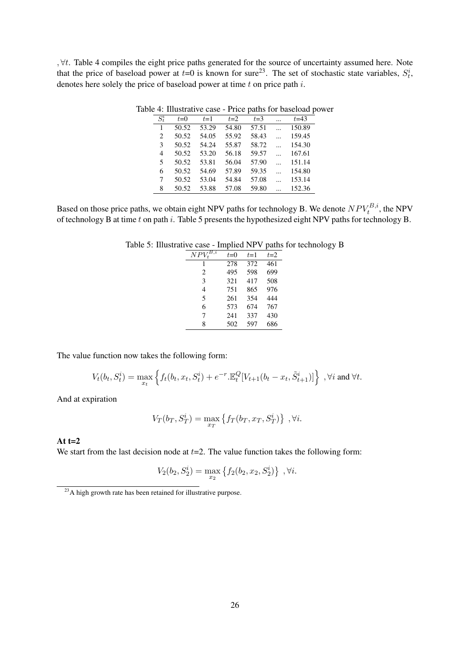, ∀t. Table 4 compiles the eight price paths generated for the source of uncertainty assumed here. Note that the price of baseload power at  $t=0$  is known for sure<sup>23</sup>. The set of stochastic state variables,  $S_t^i$ , denotes here solely the price of baseload power at time  $t$  on price path  $i$ .

| $S^i_t$ | $t=0$ | $t=1$ | $t=2$ | $t=3$ | $\ddotsc$ | $t = 43$ |
|---------|-------|-------|-------|-------|-----------|----------|
| 1       | 50.52 | 53.29 | 54.80 | 57.51 |           | 150.89   |
| 2       | 50.52 | 54.05 | 55.92 | 58.43 |           | 159.45   |
| 3       | 50.52 | 54.24 | 55.87 | 58.72 |           | 154.30   |
| 4       | 50.52 | 53.20 | 56.18 | 59.57 |           | 167.61   |
| 5       | 50.52 | 53.81 | 56.04 | 57.90 |           | 151.14   |
| 6       | 50.52 | 54.69 | 57.89 | 59.35 |           | 154.80   |
| 7       | 50.52 | 53.04 | 54.84 | 57.08 |           | 153.14   |
| 8       | 50.52 | 53.88 | 57.08 | 59.80 |           | 152.36   |

Table 4: Illustrative case - Price paths for baseload power

Based on those price paths, we obtain eight NPV paths for technology B. We denote  $NPV_t^{B,i}$ , the NPV of technology B at time t on path i. Table 5 presents the hypothesized eight NPV paths for technology B.

| $NPV^{B,i}_*$ | $t=0$ | $t=1$ | $t=2$ |
|---------------|-------|-------|-------|
| 1             | 278   | 372   | 461   |
| 2             | 495   | 598   | 699   |
| 3             | 321   | 417   | 508   |
| 4             | 751   | 865   | 976   |
| 5             | 261   | 354   | 444   |
| 6             | 573   | 674   | 767   |
| 7             | 241   | 337   | 430   |
| 8             | 502   | 597   | 686   |

Table 5: Illustrative case - Implied NPV paths for technology B

The value function now takes the following form:

$$
V_t(b_t, S_t^i) = \max_{x_t} \left\{ f_t(b_t, x_t, S_t^i) + e^{-r} \cdot \mathbb{E}_t^Q [V_{t+1}(b_t - x_t, \tilde{S}_{t+1}^i)] \right\}, \forall i \text{ and } \forall t.
$$

And at expiration

$$
V_T(b_T, S_T^i) = \max_{x_T} \left\{ f_T(b_T, x_T, S_T^i) \right\}, \forall i.
$$

#### At  $t=2$

We start from the last decision node at  $t=2$ . The value function takes the following form:

$$
V_2(b_2, S_2^i) = \max_{x_2} \{ f_2(b_2, x_2, S_2^i) \}, \forall i.
$$

 $^{23}$ A high growth rate has been retained for illustrative purpose.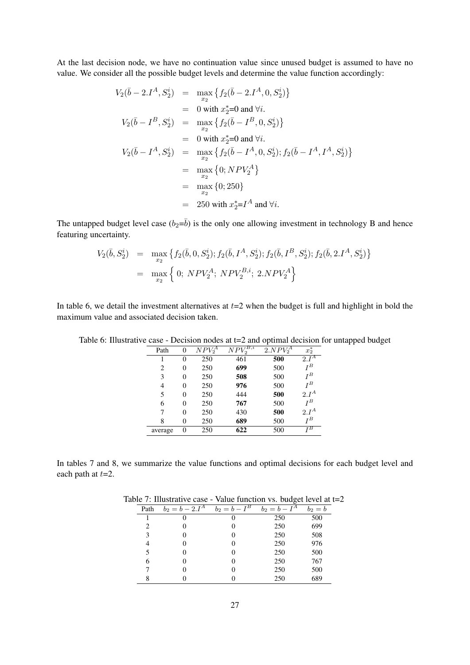At the last decision node, we have no continuation value since unused budget is assumed to have no value. We consider all the possible budget levels and determine the value function accordingly:

$$
V_2(\bar{b} - 2I^A, S_2^i) = \max_{x_2} \{ f_2(\bar{b} - 2I^A, 0, S_2^i) \}
$$
  
\n= 0 with  $x_2^*$ =0 and  $\forall i$ .  
\n
$$
V_2(\bar{b} - I^B, S_2^i) = \max_{x_2} \{ f_2(\bar{b} - I^B, 0, S_2^i) \}
$$
  
\n= 0 with  $x_2^*$ =0 and  $\forall i$ .  
\n
$$
V_2(\bar{b} - I^A, S_2^i) = \max_{x_2} \{ f_2(\bar{b} - I^A, 0, S_2^i); f_2(\bar{b} - I^A, I^A, S_2^i) \}
$$
  
\n= \max\_{x\_2} \{ 0; NPV\_2^A \}  
\n= \max\_{x\_2} \{ 0; 250 \}  
\n= 250 with  $x_2^* = I^A$  and  $\forall i$ .

The untapped budget level case  $(b_2=\overline{b})$  is the only one allowing investment in technology B and hence featuring uncertainty.

$$
V_2(\bar{b}, S_2^i) = \max_{x_2} \{ f_2(\bar{b}, 0, S_2^i); f_2(\bar{b}, I^A, S_2^i); f_2(\bar{b}, I^B, S_2^i); f_2(\bar{b}, 2I^A, S_2^i) \}
$$
  
= 
$$
\max_{x_2} \{ 0; N P V_2^A; N P V_2^{B,i}; 2. N P V_2^A \}
$$

In table 6, we detail the investment alternatives at  $t=2$  when the budget is full and highlight in bold the maximum value and associated decision taken.

| Path    | 0 | $N P V_2^A$ | B, i<br>N P V | $2. NPV_2^{\overline{A}}$ | $x_2^*$ |
|---------|---|-------------|---------------|---------------------------|---------|
|         | 0 | 250         | 461           | 500                       | $2.I^A$ |
| 2       | 0 | 250         | 699           | 500                       | $I^B$   |
| 3       | 0 | 250         | 508           | 500                       | $I^B$   |
| 4       | 0 | 250         | 976           | 500                       | $I^B$   |
| 5       | 0 | 250         | 444           | 500                       | $2.I^A$ |
| 6       | 0 | 250         | 767           | 500                       | $I^B$   |
| 7       | 0 | 250         | 430           | 500                       | $2.I^A$ |
| 8       | 0 | 250         | 689           | 500                       | ŢВ      |
| average |   | 250         | 622           | 500                       | τВ      |

Table 6: Illustrative case - Decision nodes at t=2 and optimal decision for untapped budget

In tables 7 and 8, we summarize the value functions and optimal decisions for each budget level and each path at  $t=2$ .

| Path           | $b_2 = b - 2.I^A$ | $I^B$<br>$b_2 = b -$ | $I^A$<br>$b_2 = b -$ | $b_2=b$ |
|----------------|-------------------|----------------------|----------------------|---------|
|                |                   |                      | 250                  | 500     |
| 2              |                   |                      | 250                  | 699     |
| 3              |                   |                      | 250                  | 508     |
| $\overline{4}$ |                   |                      | 250                  | 976     |
|                |                   | 0                    | 250                  | 500     |
| 6              |                   | $\mathbf{\Omega}$    | 250                  | 767     |
|                |                   |                      | 250                  | 500     |
|                |                   |                      | 250                  | 689     |

Table 7: Illustrative case - Value function vs. budget level at t=2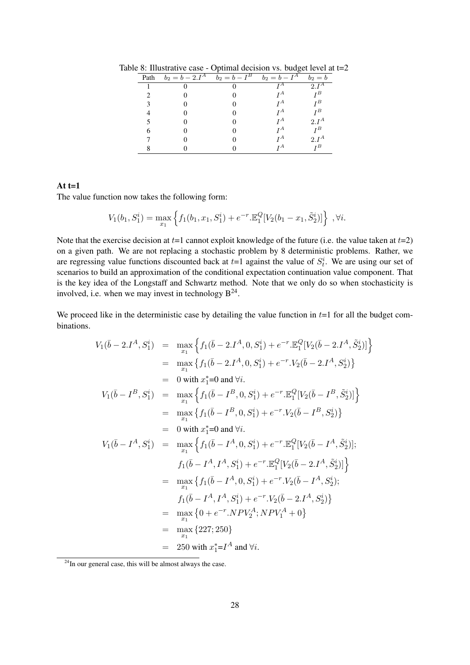| Path | $b_2 = b - 2.\overline{I^A}$ | $b_2 = \overline{b - I^B}$ | $b_2=\overline{b}-\overline{I^A}$ | $b_2 = b$ |
|------|------------------------------|----------------------------|-----------------------------------|-----------|
|      |                              |                            | TА                                | $2.I^A$   |
|      |                              |                            | ŢА                                | $I^B$     |
|      |                              |                            | $I^A$                             | $I^B$     |
|      |                              |                            | $I^A$                             | $I^B$     |
|      |                              |                            | ŢА                                | $2.I^A$   |
| 6    |                              |                            | ΤА                                | $I^B$     |
|      |                              |                            | ŢА                                | $2.I^A$   |
|      |                              |                            | ΤА                                | τВ        |

Table 8: Illustrative case - Optimal decision vs. budget level at t=2

## At  $t=1$

The value function now takes the following form:

$$
V_1(b_1, S_1^i) = \max_{x_1} \left\{ f_1(b_1, x_1, S_1^i) + e^{-r} \mathbb{E}_1^Q [V_2(b_1 - x_1, \tilde{S}_2^i)] \right\}, \forall i.
$$

Note that the exercise decision at  $t=1$  cannot exploit knowledge of the future (i.e. the value taken at  $t=2$ ) on a given path. We are not replacing a stochastic problem by 8 deterministic problems. Rather, we are regressing value functions discounted back at  $t=1$  against the value of  $S_t^i$ . We are using our set of scenarios to build an approximation of the conditional expectation continuation value component. That is the key idea of the Longstaff and Schwartz method. Note that we only do so when stochasticity is involved, i.e. when we may invest in technology  $B^{24}$ .

We proceed like in the deterministic case by detailing the value function in  $t=1$  for all the budget combinations.

$$
V_{1}(\bar{b}-2.I^{A}, S_{1}^{i}) = \max_{x_{1}} \left\{ f_{1}(\bar{b}-2.I^{A}, 0, S_{1}^{i}) + e^{-r} \cdot \mathbb{E}_{1}^{Q} [V_{2}(\bar{b}-2.I^{A}, \tilde{S}_{2}^{i})] \right\}
$$
  
\n
$$
= \max_{x_{1}} \left\{ f_{1}(\bar{b}-2.I^{A}, 0, S_{1}^{i}) + e^{-r} \cdot V_{2}(\bar{b}-2.I^{A}, S_{2}^{i}) \right\}
$$
  
\n
$$
= 0 \text{ with } x_{1}^{*} = 0 \text{ and } \forall i.
$$
  
\n
$$
V_{1}(\bar{b}-I^{B}, S_{1}^{i}) = \max_{x_{1}} \left\{ f_{1}(\bar{b}-I^{B}, 0, S_{1}^{i}) + e^{-r} \cdot \mathbb{E}_{1}^{Q} [V_{2}(\bar{b}-I^{B}, \tilde{S}_{2}^{i})] \right\}
$$
  
\n
$$
= \max_{x_{1}} \left\{ f_{1}(\bar{b}-I^{B}, 0, S_{1}^{i}) + e^{-r} \cdot V_{2}(\bar{b}-I^{B}, S_{2}^{i}) \right\}
$$
  
\n
$$
= 0 \text{ with } x_{1}^{*} = 0 \text{ and } \forall i.
$$
  
\n
$$
V_{1}(\bar{b}-I^{A}, S_{1}^{i}) = \max_{x_{1}} \left\{ f_{1}(\bar{b}-I^{A}, 0, S_{1}^{i}) + e^{-r} \cdot \mathbb{E}_{1}^{Q} [V_{2}(\bar{b}-2.I^{A}, \tilde{S}_{2}^{i})] \right\}
$$
  
\n
$$
= \max_{x_{1}} \left\{ f_{1}(\bar{b}-I^{A}, 0, S_{1}^{i}) + e^{-r} \cdot V_{2}(\bar{b}-2.I^{A}, \tilde{S}_{2}^{i}) \right\}
$$
  
\n
$$
= \max_{x_{1}} \left\{ f_{1}(\bar{b}-I^{A}, 0, S_{1}^{i}) + e^{-r} \cdot V_{2}(\bar{b}-2.I^{A}, \tilde{S}_{2}^{i}) \right\}
$$
  
\n
$$
= \max_{x_{1}} \left\{ f_{1}(\
$$

<sup>&</sup>lt;sup>24</sup>In our general case, this will be almost always the case.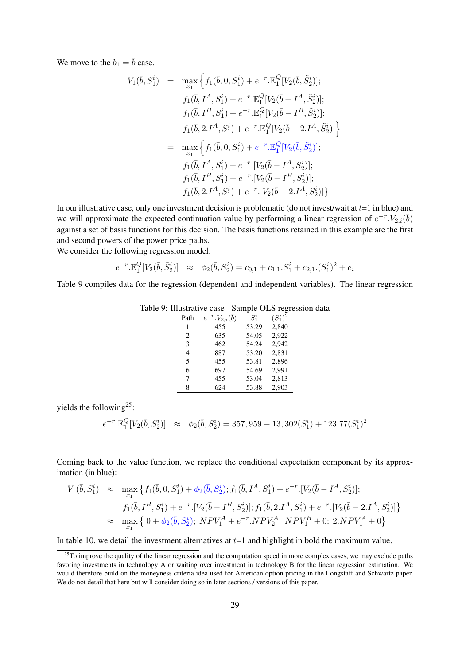We move to the  $b_1 = \overline{b}$  case.

$$
V_{1}(\bar{b}, S_{1}^{i}) = \max_{x_{1}} \left\{ f_{1}(\bar{b}, 0, S_{1}^{i}) + e^{-r} \cdot \mathbb{E}_{1}^{Q}[V_{2}(\bar{b}, \tilde{S}_{2}^{i})]; \right\}f_{1}(\bar{b}, I^{A}, S_{1}^{i}) + e^{-r} \cdot \mathbb{E}_{1}^{Q}[V_{2}(\bar{b} - I^{A}, \tilde{S}_{2}^{i})];f_{1}(\bar{b}, I^{B}, S_{1}^{i}) + e^{-r} \cdot \mathbb{E}_{1}^{Q}[V_{2}(\bar{b} - I^{B}, \tilde{S}_{2}^{i})];f_{1}(\bar{b}, 2I^{A}, S_{1}^{i}) + e^{-r} \cdot \mathbb{E}_{1}^{Q}[V_{2}(\bar{b} - 2I^{A}, \tilde{S}_{2}^{i})] \right\}= \max_{x_{1}} \left\{ f_{1}(\bar{b}, 0, S_{1}^{i}) + e^{-r} \cdot \mathbb{E}_{1}^{Q}[V_{2}(\bar{b}, \tilde{S}_{2}^{i})];f_{1}(\bar{b}, I^{A}, S_{1}^{i}) + e^{-r} \cdot [V_{2}(\bar{b} - I^{A}, S_{2}^{i})];f_{1}(\bar{b}, I^{B}, S_{1}^{i}) + e^{-r} \cdot [V_{2}(\bar{b} - I^{B}, S_{2}^{i})];f_{1}(\bar{b}, 2I^{A}, S_{1}^{i}) + e^{-r} \cdot [V_{2}(\bar{b} - 2I^{A}, S_{2}^{i})] \right\}
$$

In our illustrative case, only one investment decision is problematic (do not invest/wait at  $t=1$  in blue) and we will approximate the expected continuation value by performing a linear regression of  $e^{-r} N_{2,i}(\bar{b})$ against a set of basis functions for this decision. The basis functions retained in this example are the first and second powers of the power price paths.

We consider the following regression model:

$$
e^{-r} \cdot \mathbb{E}^Q_1[V_2(\bar{b}, \tilde{S}_2^i)] \approx \phi_2(\bar{b}, S_2^i) = c_{0,1} + c_{1,1} \cdot S_1^i + c_{2,1} \cdot (S_1^i)^2 + e_i
$$

Table 9 compiles data for the regression (dependent and independent variables). The linear regression

|      |                                 |         | ⊷–∽         |
|------|---------------------------------|---------|-------------|
| Path | $^{r}.V_{2,i}(b)$<br>$\epsilon$ | $S_1^i$ | $(S_1^i)^2$ |
| 1    | 455                             | 53.29   | 2.840       |
| 2    | 635                             | 54.05   | 2,922       |
| 3    | 462                             | 54.24   | 2,942       |
| 4    | 887                             | 53.20   | 2,831       |
| 5    | 455                             | 53.81   | 2,896       |
| 6    | 697                             | 54.69   | 2,991       |
| 7    | 455                             | 53.04   | 2,813       |
| 8    | 624                             | 53.88   | 2,903       |

Table 9: Illustrative case - Sample OLS regression data

yields the following<sup>25</sup>:

$$
e^{-r} \cdot \mathbb{E}^Q_1[V_2(\bar{b}, \tilde{S}^i_2)] \quad \approx \quad \phi_2(\bar{b}, S^i_2) = 357,959 - 13,302(S^i_1) + 123.77(S^i_1)^2
$$

Coming back to the value function, we replace the conditional expectation component by its approximation (in blue):

$$
V_1(\bar{b}, S_1^i) \approx \max_{x_1} \{ f_1(\bar{b}, 0, S_1^i) + \phi_2(\bar{b}, S_2^i); f_1(\bar{b}, I^A, S_1^i) + e^{-r}.[V_2(\bar{b} - I^A, S_2^i)];
$$
  
\n
$$
f_1(\bar{b}, I^B, S_1^i) + e^{-r}.[V_2(\bar{b} - I^B, S_2^i)]; f_1(\bar{b}, 2. I^A, S_1^i) + e^{-r}.[V_2(\bar{b} - 2. I^A, S_2^i)] \}
$$
  
\n
$$
\approx \max_{x_1} \{ 0 + \phi_2(\bar{b}, S_2^i); NPV_1^A + e^{-r}.NPV_2^A; NPV_1^B + 0; 2. NPV_1^A + 0 \}
$$

In table 10, we detail the investment alternatives at  $t=1$  and highlight in bold the maximum value.

 $25$ To improve the quality of the linear regression and the computation speed in more complex cases, we may exclude paths favoring investments in technology A or waiting over investment in technology B for the linear regression estimation. We would therefore build on the moneyness criteria idea used for American option pricing in the Longstaff and Schwartz paper. We do not detail that here but will consider doing so in later sections / versions of this paper.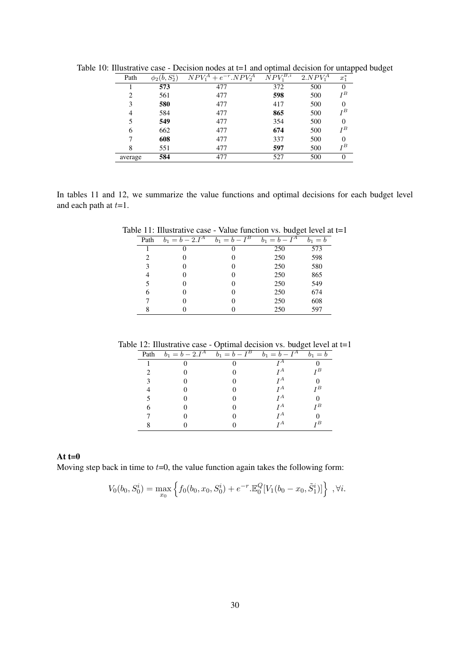| Path    | $\phi_2(\bar{b},S_2^i)$ | $NPV_1^A + e^{-r} . NPV_2^A$ | $NPV^{{\overline{B}},i}_i$ | 2.NPV <sub>1</sub> <sup>A</sup> | $x_1^*$  |
|---------|-------------------------|------------------------------|----------------------------|---------------------------------|----------|
|         | 573                     | 477                          | 372                        | 500                             |          |
| 2       | 561                     | 477                          | 598                        | 500                             | $I^B$    |
| 3       | 580                     | 477                          | 417                        | 500                             | $\Omega$ |
| 4       | 584                     | 477                          | 865                        | 500                             | ŢВ       |
| 5       | 549                     | 477                          | 354                        | 500                             | 0        |
| 6       | 662                     | 477                          | 674                        | 500                             | $I^B$    |
|         | 608                     | 477                          | 337                        | 500                             | $\Omega$ |
| 8       | 551                     | 477                          | 597                        | 500                             | ŢВ       |
| average | 584                     | 477                          | 527                        | 500                             | $\theta$ |

Table 10: Illustrative case - Decision nodes at t=1 and optimal decision for untapped budget

In tables 11 and 12, we summarize the value functions and optimal decisions for each budget level and each path at  $t=1$ .

Table 11: Illustrative case - Value function vs. budget level at  $t=1$ 

|      |                                | ▱                          |                 |           |  |  |
|------|--------------------------------|----------------------------|-----------------|-----------|--|--|
| Path | $b_1 = b - 2.I^{\overline{A}}$ | $b_1 = \overline{b - I^B}$ | $b_1 = b - I^A$ | $b_1 = b$ |  |  |
|      |                                |                            | 250             | 573       |  |  |
| 2    |                                |                            | 250             | 598       |  |  |
| 3    |                                |                            | 250             | 580       |  |  |
| 4    |                                |                            | 250             | 865       |  |  |
| 5    |                                |                            | 250             | 549       |  |  |
| 6    |                                |                            | 250             | 674       |  |  |
|      |                                |                            | 250             | 608       |  |  |
| 8    |                                |                            | 250             | 597       |  |  |
|      |                                |                            |                 |           |  |  |

Table 12: Illustrative case - Optimal decision vs. budget level at t=1

|      |                                                          | -                      |         |
|------|----------------------------------------------------------|------------------------|---------|
| Path | $b_1 = \bar{b} - 2.I^A$ $\overline{b_1 = \bar{b} - I^B}$ | $b_1=\overline{b-I^A}$ | $b_1 =$ |
|      |                                                          |                        |         |
|      |                                                          |                        | τВ      |
|      |                                                          | ŢА                     |         |
|      |                                                          | ŢА                     | τВ      |
|      |                                                          | ŢА                     |         |
|      |                                                          | ŢА                     | тВ      |
|      |                                                          |                        |         |
|      |                                                          |                        | ΓB      |

## At  $t=0$

Moving step back in time to  $t=0$ , the value function again takes the following form:

$$
V_0(b_0, S_0^i) = \max_{x_0} \left\{ f_0(b_0, x_0, S_0^i) + e^{-r} \mathbb{E}_0^Q[V_1(b_0 - x_0, \tilde{S}_1^i)] \right\}, \forall i.
$$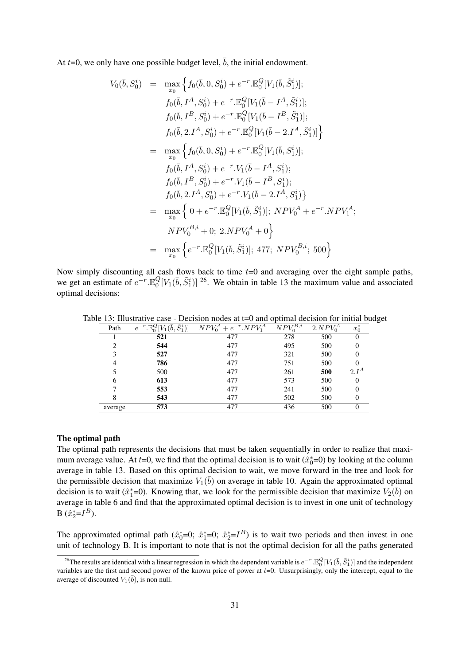At  $t=0$ , we only have one possible budget level,  $\overline{b}$ , the initial endowment.

$$
V_{0}(\bar{b}, S_{0}^{i}) = \max_{x_{0}} \left\{ f_{0}(\bar{b}, 0, S_{0}^{i}) + e^{-r} \cdot \mathbb{E}_{0}^{Q}[V_{1}(\bar{b}, \tilde{S}_{1}^{i})]; \right\}f_{0}(\bar{b}, I^{A}, S_{0}^{i}) + e^{-r} \cdot \mathbb{E}_{0}^{Q}[V_{1}(\bar{b} - I^{A}, \tilde{S}_{1}^{i})];f_{0}(\bar{b}, I^{B}, S_{0}^{i}) + e^{-r} \cdot \mathbb{E}_{0}^{Q}[V_{1}(\bar{b} - I^{B}, \tilde{S}_{1}^{i})];f_{0}(\bar{b}, 2. I^{A}, S_{0}^{i}) + e^{-r} \cdot \mathbb{E}_{0}^{Q}[V_{1}(\bar{b} - 2. I^{A}, \tilde{S}_{1}^{i})] \right\}= \max_{x_{0}} \left\{ f_{0}(\bar{b}, 0, S_{0}^{i}) + e^{-r} \cdot \mathbb{E}_{0}^{Q}[V_{1}(\bar{b}, S_{1}^{i})];f_{0}(\bar{b}, I^{A}, S_{0}^{i}) + e^{-r} \cdot V_{1}(\bar{b} - I^{A}, S_{1}^{i});f_{0}(\bar{b}, I^{B}, S_{0}^{i}) + e^{-r} \cdot V_{1}(\bar{b} - I^{B}, S_{1}^{i});f_{0}(\bar{b}, 2. I^{A}, S_{0}^{i}) + e^{-r} \cdot V_{1}(\bar{b} - 2. I^{A}, S_{1}^{i}) \right\}= \max_{x_{0}} \left\{ 0 + e^{-r} \cdot \mathbb{E}_{0}^{Q}[V_{1}(\bar{b}, \tilde{S}_{1}^{i})]; N P V_{0}^{A} + e^{-r} \cdot N P V_{1}^{A};N P V_{0}^{B,i} + 0; 2. N P V_{0}^{A} + 0 \right\}= \max_{x_{0}} \left\{ e^{-r} \cdot \mathbb{E}_{0}^{Q}[V_{1}(\bar{b}, \tilde{S}_{1}^{i})]; 477; N P V_{0}^{B,i}; 500 \right\}
$$

Now simply discounting all cash flows back to time  $t=0$  and averaging over the eight sample paths, we get an estimate of  $e^{-r} \mathbb{E}_0^Q$  ${}_{0}^{Q}[V_{1}(\bar{b}, \tilde{S}_{1}^{i})]$  <sup>26</sup>. We obtain in table 13 the maximum value and associated optimal decisions:

Table 13: Illustrative case - Decision nodes at t=0 and optimal decision for initial budget

| Path    | õί<br>е | $NPV_0^A + e^{-r} . NPV_1^A$ | $NP\overline{V_{\alpha}^{B,i}}$ | 2.NPV <sub>0</sub> <sup>A</sup> | $x_0^*$  |
|---------|---------|------------------------------|---------------------------------|---------------------------------|----------|
|         | 521     | 477                          | 278                             | 500                             | 0        |
| ∍       | 544     | 477                          | 495                             | 500                             | 0        |
| 3       | 527     | 477                          | 321                             | 500                             | 0        |
| 4       | 786     | 477                          | 751                             | 500                             | 0        |
|         | 500     | 477                          | 261                             | 500                             | $2.I^A$  |
| 6       | 613     | 477                          | 573                             | 500                             | 0        |
|         | 553     | 477                          | 241                             | 500                             | 0        |
| 8       | 543     | 477                          | 502                             | 500                             | 0        |
| average | 573     | 477                          | 436                             | 500                             | $\Omega$ |

#### The optimal path

The optimal path represents the decisions that must be taken sequentially in order to realize that maximum average value. At  $t=0$ , we find that the optimal decision is to wait  $(\hat{x}_0^*=0)$  by looking at the column average in table 13. Based on this optimal decision to wait, we move forward in the tree and look for the permissible decision that maximize  $V_1(\overline{b})$  on average in table 10. Again the approximated optimal decision is to wait ( $\hat{x}_1^*$ =0). Knowing that, we look for the permissible decision that maximize  $V_2(\bar{b})$  on average in table 6 and find that the approximated optimal decision is to invest in one unit of technology  $B(\hat{x}_2^* = I^B).$ 

The approximated optimal path  $(\hat{x}_0^*=0; \hat{x}_1^*=0; \hat{x}_2^*=I^B)$  is to wait two periods and then invest in one unit of technology B. It is important to note that is not the optimal decision for all the paths generated

<sup>&</sup>lt;sup>26</sup>The results are identical with a linear regression in which the dependent variable is  $e^{-r}$ .  $\mathbb{E}^Q_0[V_1(\bar{b},\tilde{S}^i_1)]$  and the independent variables are the first and second power of the known price of power at  $t=0$ . Unsurprisingly, only the intercept, equal to the average of discounted  $V_1(\overline{b})$ , is non null.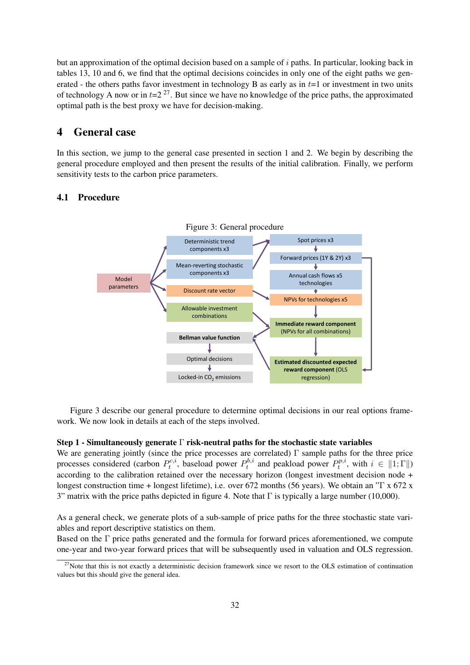but an approximation of the optimal decision based on a sample of i paths. In particular, looking back in tables 13, 10 and 6, we find that the optimal decisions coincides in only one of the eight paths we generated - the others paths favor investment in technology B as early as in  $t=1$  or investment in two units of technology A now or in  $t=2^{27}$ . But since we have no knowledge of the price paths, the approximated optimal path is the best proxy we have for decision-making.

## 4 General case

In this section, we jump to the general case presented in section 1 and 2. We begin by describing the general procedure employed and then present the results of the initial calibration. Finally, we perform sensitivity tests to the carbon price parameters.

## 4.1 Procedure



Figure 3 describe our general procedure to determine optimal decisions in our real options framework. We now look in details at each of the steps involved.

#### Step 1 - Simultaneously generate  $\Gamma$  risk-neutral paths for the stochastic state variables

We are generating jointly (since the price processes are correlated)  $\Gamma$  sample paths for the three price processes considered (carbon  $P_t^{c,i}$  $p_t^{c,i}$ , baseload power  $P_t^{b,i}$  $P_t^{b,i}$  and peakload power  $P_t^{p,i}$  $t^{p,n}$ , with  $i \in ||1;\Gamma||$ according to the calibration retained over the necessary horizon (longest investment decision node + longest construction time + longest lifetime), i.e. over 672 months (56 years). We obtain an "Γ x 672 x 3" matrix with the price paths depicted in figure 4. Note that  $\Gamma$  is typically a large number (10,000).

As a general check, we generate plots of a sub-sample of price paths for the three stochastic state variables and report descriptive statistics on them.

Based on the Γ price paths generated and the formula for forward prices aforementioned, we compute one-year and two-year forward prices that will be subsequently used in valuation and OLS regression.

 $27$ Note that this is not exactly a deterministic decision framework since we resort to the OLS estimation of continuation values but this should give the general idea.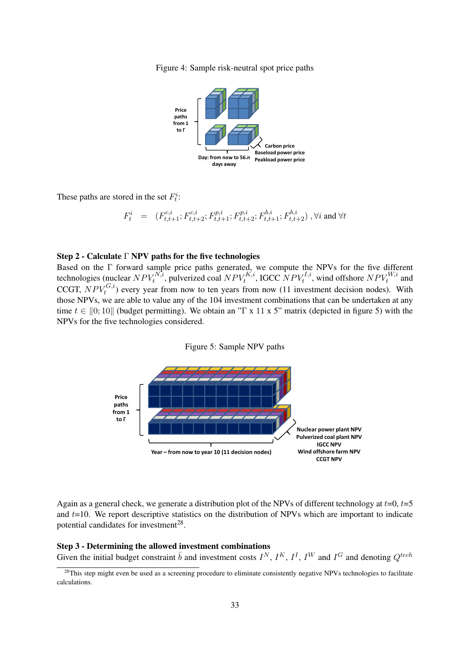Figure 4: Sample risk-neutral spot price paths



These paths are stored in the set  $F_t^i$ :

$$
F^i_t \quad = \quad (F^{c,i}_{t,t+1}; F^{c,i}_{t,t+2}; F^{p,i}_{t,t+1}; F^{p,i}_{t,t+2}; F^{b,i}_{t,t+1}; F^{b,i}_{t,t+2}) \,\, , \forall i \text{ and } \forall t
$$

#### Step 2 - Calculate Γ NPV paths for the five technologies

Based on the Γ forward sample price paths generated, we compute the NPVs for the five different technologies (nuclear  $NPV_t^{N,i}$ , pulverized coal  $NPV_t^{K,i}$ , IGCC  $NPV_t^{I,i}$ , wind offshore  $NPV_t^{W,i}$  and CCGT,  $NPV_t^{G,i}$ ) every year from now to ten years from now (11 investment decision nodes). With those NPVs, we are able to value any of the 104 investment combinations that can be undertaken at any time  $t \in [0; 10]$  (budget permitting). We obtain an "Γ x 11 x 5" matrix (depicted in figure 5) with the NPVs for the five technologies considered.





Again as a general check, we generate a distribution plot of the NPVs of different technology at  $t=0$ ,  $t=5$ and  $t=10$ . We report descriptive statistics on the distribution of NPVs which are important to indicate potential candidates for investment<sup>28</sup>.

Step 3 - Determining the allowed investment combinations Given the initial budget constraint  $\bar{b}$  and investment costs  $I^N$ ,  $I^K$ ,  $I^I$ ,  $I^W$  and  $I^G$  and denoting  $Q^{tech}$ 

<sup>&</sup>lt;sup>28</sup>This step might even be used as a screening procedure to eliminate consistently negative NPVs technologies to facilitate calculations.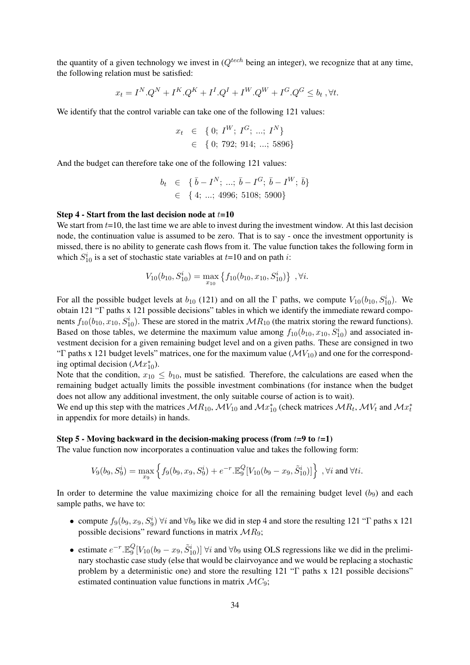the quantity of a given technology we invest in  $Q^{tech}$  being an integer), we recognize that at any time, the following relation must be satisfied:

$$
x_t = I^N.Q^N + I^K.Q^K + I^I.Q^I + I^W.Q^W + I^G.Q^G \leq b_t, \forall t.
$$

We identify that the control variable can take one of the following 121 values:

$$
x_t \in \{0; I^W; I^G; \dots; I^N\} \in \{0; 792; 914; \dots; 5896\}
$$

And the budget can therefore take one of the following 121 values:

$$
b_t \in \{ \bar{b} - I^N; \dots; \bar{b} - I^G; \bar{b} - I^W; \bar{b} \}
$$
  

$$
\in \{ 4; \dots; 4996; 5108; 5900 \}
$$

#### Step 4 - Start from the last decision node at  $t=10$

We start from  $t=10$ , the last time we are able to invest during the investment window. At this last decision node, the continuation value is assumed to be zero. That is to say - once the investment opportunity is missed, there is no ability to generate cash flows from it. The value function takes the following form in which  $S_{10}^i$  is a set of stochastic state variables at  $t=10$  and on path *i*:

$$
V_{10}(b_{10}, S_{10}^i) = \max_{x_{10}} \{f_{10}(b_{10}, x_{10}, S_{10}^i)\}, \forall i.
$$

For all the possible budget levels at  $b_{10}$  (121) and on all the  $\Gamma$  paths, we compute  $V_{10}(b_{10}, S_{10}^i)$ . We obtain 121 "Γ paths x 121 possible decisions" tables in which we identify the immediate reward components  $f_{10}(b_{10}, x_{10}, S_{10}^i)$ . These are stored in the matrix  $MR_{10}$  (the matrix storing the reward functions). Based on those tables, we determine the maximum value among  $f_{10}(b_{10}, x_{10}, S_{10}^i)$  and associated investment decision for a given remaining budget level and on a given paths. These are consigned in two "Γ paths x 121 budget levels" matrices, one for the maximum value ( $\mathcal{M}V_{10}$ ) and one for the corresponding optimal decision  $(\mathcal{M}x_{10}^*)$ .

Note that the condition,  $x_{10} \leq b_{10}$ , must be satisfied. Therefore, the calculations are eased when the remaining budget actually limits the possible investment combinations (for instance when the budget does not allow any additional investment, the only suitable course of action is to wait).

We end up this step with the matrices  $MR_{10}$ ,  $MV_{10}$  and  $Mx_{10}^*$  (check matrices  $MR_t$ ,  $MV_t$  and  $Mx_t^*$ in appendix for more details) in hands.

#### Step 5 - Moving backward in the decision-making process (from  $t=9$  to  $t=1$ )

The value function now incorporates a continuation value and takes the following form:

$$
V_9(b_9, S_9^i) = \max_{x_9} \left\{ f_9(b_9, x_9, S_9^i) + e^{-r} \mathbb{E}_9^Q[V_{10}(b_9 - x_9, \tilde{S}_{10}^i)] \right\}, \forall i \text{ and } \forall ti.
$$

In order to determine the value maximizing choice for all the remaining budget level  $(b<sub>9</sub>)$  and each sample paths, we have to:

- compute  $f_9(b_9, x_9, S_9^i)$   $\forall i$  and  $\forall b_9$  like we did in step 4 and store the resulting 121 "T paths x 121 possible decisions" reward functions in matrix  $MR_9$ ;
- estimate  $e^{-r}$ .  $\mathbb{E}_9^Q$  ${}^Q_9[V_{10}(b_9 - x_9, \tilde{S}_{10}^i)]$   $\forall i$  and  $\forall b_9$  using OLS regressions like we did in the preliminary stochastic case study (else that would be clairvoyance and we would be replacing a stochastic problem by a deterministic one) and store the resulting 121 "Γ paths x 121 possible decisions" estimated continuation value functions in matrix  $\mathcal{M}C_9$ ;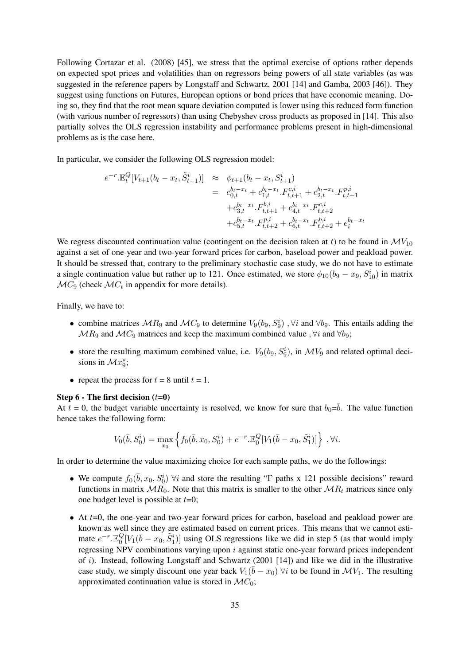Following Cortazar et al. (2008) [45], we stress that the optimal exercise of options rather depends on expected spot prices and volatilities than on regressors being powers of all state variables (as was suggested in the reference papers by Longstaff and Schwartz, 2001 [14] and Gamba, 2003 [46]). They suggest using functions on Futures, European options or bond prices that have economic meaning. Doing so, they find that the root mean square deviation computed is lower using this reduced form function (with various number of regressors) than using Chebyshev cross products as proposed in [14]. This also partially solves the OLS regression instability and performance problems present in high-dimensional problems as is the case here.

In particular, we consider the following OLS regression model:

$$
e^{-r} \cdot \mathbb{E}_t^Q \left[ V_{t+1}(b_t - x_t, \tilde{S}_{t+1}^i) \right] \approx \phi_{t+1}(b_t - x_t, S_{t+1}^i)
$$
  
\n
$$
= c_{0,t}^{b_t - x_t} + c_{1,t}^{b_t - x_t} \cdot F_{t,t+1}^{c,t} + c_{2,t}^{b_t - x_t} \cdot F_{t,t+1}^{p,i}
$$
  
\n
$$
+ c_{3,t}^{b_t - x_t} \cdot F_{t,t+1}^{b,i} + c_{4,t}^{b_t - x_t} \cdot F_{t,t+2}^{c,i}
$$
  
\n
$$
+ c_{5,t}^{b_t - x_t} \cdot F_{t,t+2}^{p,i} + c_{6,t}^{b_t - x_t} \cdot F_{t,t+2}^{b,i} + e_t^{b_t - x_t}
$$

We regress discounted continuation value (contingent on the decision taken at t) to be found in  $\mathcal{M}V_{10}$ against a set of one-year and two-year forward prices for carbon, baseload power and peakload power. It should be stressed that, contrary to the preliminary stochastic case study, we do not have to estimate a single continuation value but rather up to 121. Once estimated, we store  $\phi_{10}(b_9 - x_9, S_{10}^i)$  in matrix  $\mathcal{M}C_9$  (check  $\mathcal{M}C_t$  in appendix for more details).

Finally, we have to:

- combine matrices  $MR_9$  and  $MC_9$  to determine  $V_9(b_9, S_9^i)$ ,  $\forall i$  and  $\forall b_9$ . This entails adding the  $MR_9$  and  $MC_9$  matrices and keep the maximum combined value ,  $\forall i$  and  $\forall b_9$ ;
- store the resulting maximum combined value, i.e.  $V_9(b_9, S_9^i)$ , in  $\mathcal{M}V_9$  and related optimal decisions in  $\mathcal{M}x_9^*$ ;
- repeat the process for  $t = 8$  until  $t = 1$ .

#### Step  $6$  - The first decision  $(t=0)$

At  $t = 0$ , the budget variable uncertainty is resolved, we know for sure that  $b_0 = \overline{b}$ . The value function hence takes the following form:

$$
V_0(\bar{b}, S_0^i) = \max_{x_0} \left\{ f_0(\bar{b}, x_0, S_0^i) + e^{-r} \mathbb{E}_0^Q [V_1(\bar{b} - x_0, \tilde{S}_1^i)] \right\}, \forall i.
$$

In order to determine the value maximizing choice for each sample paths, we do the followings:

- We compute  $f_0(\bar{b}, x_0, S_0^i)$   $\forall i$  and store the resulting " $\Gamma$  paths x 121 possible decisions" reward functions in matrix  $MR_0$ . Note that this matrix is smaller to the other  $MR_t$  matrices since only one budget level is possible at  $t=0$ ;
- $\bullet$  At  $t=0$ , the one-year and two-year forward prices for carbon, baseload and peakload power are known as well since they are estimated based on current prices. This means that we cannot estimate  $e^{-r}$ . $\mathbb{E}_0^Q$  ${}_{0}^{Q}[V_{1}(\bar{b}-x_{0}, \tilde{S}_{1}^{i})]$  using OLS regressions like we did in step 5 (as that would imply regressing NPV combinations varying upon  $i$  against static one-year forward prices independent of i). Instead, following Longstaff and Schwartz  $(2001 \mid 14)$  and like we did in the illustrative case study, we simply discount one year back  $V_1(\bar{b} - x_0)$   $\forall i$  to be found in  $\mathcal{M}V_1$ . The resulting approximated continuation value is stored in  $\mathcal{M}C_0$ ;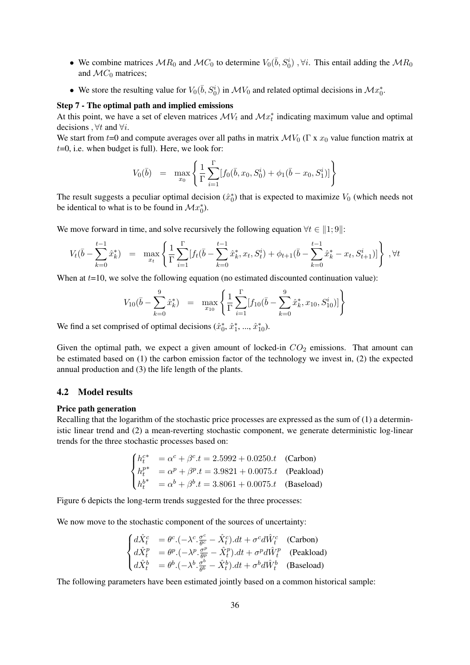- We combine matrices  $MR_0$  and  $MC_0$  to determine  $V_0(\bar{b}, S_0^i)$ ,  $\forall i$ . This entail adding the  $MR_0$ and  $\mathcal{M}C_0$  matrices;
- We store the resulting value for  $V_0(\bar{b}, S_0^i)$  in  $\mathcal{M}V_0$  and related optimal decisions in  $\mathcal{M}x_0^*$ .

#### Step 7 - The optimal path and implied emissions

At this point, we have a set of eleven matrices  $\mathcal{M}V_t$  and  $\mathcal{M}x_t^*$  indicating maximum value and optimal decisions ,  $\forall t$  and  $\forall i$ .

We start from t=0 and compute averages over all paths in matrix  $\mathcal{M}V_0$  (Γ x  $x_0$  value function matrix at  $t=0$ , i.e. when budget is full). Here, we look for:

$$
V_0(\bar{b}) = \max_{x_0} \left\{ \frac{1}{\Gamma} \sum_{i=1}^{\Gamma} [f_0(\bar{b}, x_0, S_0^i) + \phi_1(\bar{b} - x_0, S_1^i)] \right\}
$$

The result suggests a peculiar optimal decision  $(\hat{x}_0^*)$  that is expected to maximize  $V_0$  (which needs not be identical to what is to be found in  $\mathcal{M}x_0^*$ ).

We move forward in time, and solve recursively the following equation  $\forall t \in [1; 9]$ :

$$
V_t(\bar{b} - \sum_{k=0}^{t-1} \hat{x}_k^*) = \max_{x_t} \left\{ \frac{1}{\Gamma} \sum_{i=1}^{\Gamma} [f_t(\bar{b} - \sum_{k=0}^{t-1} \hat{x}_k^*, x_t, S_t^i) + \phi_{t+1}(\bar{b} - \sum_{k=0}^{t-1} \hat{x}_k^* - x_t, S_{t+1}^i)] \right\}, \forall t
$$

When at  $t=10$ , we solve the following equation (no estimated discounted continuation value):

$$
V_{10}(\bar{b} - \sum_{k=0}^{9} \hat{x}_{k}^{*}) = \max_{x_{10}} \left\{ \frac{1}{\Gamma} \sum_{i=1}^{\Gamma} [f_{10}(\bar{b} - \sum_{k=0}^{9} \hat{x}_{k}^{*}, x_{10}, S_{10}^{i})] \right\}
$$

We find a set comprised of optimal decisions  $(\hat{x}_0^*, \hat{x}_1^*, ..., \hat{x}_{10}^*)$ .

Given the optimal path, we expect a given amount of locked-in  $CO<sub>2</sub>$  emissions. That amount can be estimated based on (1) the carbon emission factor of the technology we invest in, (2) the expected annual production and (3) the life length of the plants.

#### 4.2 Model results

#### Price path generation

Recalling that the logarithm of the stochastic price processes are expressed as the sum of (1) a deterministic linear trend and (2) a mean-reverting stochastic component, we generate deterministic log-linear trends for the three stochastic processes based on:

$$
\begin{cases}\nh_t^{c*} = \alpha^c + \beta^c \cdot t = 2.5992 + 0.0250 \cdot t \quad \text{(Carbon)} \\
h_t^{p*} = \alpha^p + \beta^p \cdot t = 3.9821 + 0.0075 \cdot t \quad \text{(Peakload)} \\
h_t^{b*} = \alpha^b + \beta^b \cdot t = 3.8061 + 0.0075 \cdot t \quad \text{(Baseload)}\n\end{cases}
$$

Figure 6 depicts the long-term trends suggested for the three processes:

We now move to the stochastic component of the sources of uncertainty:

$$
\begin{cases}\n d\hat{X}^c_t &= \theta^c. (-\lambda^c. \frac{\sigma^c}{\theta^c} - \hat{X}^c_t).dt + \sigma^c d\hat{W}^c_t \quad \text{(Carbon)} \\
 d\hat{X}^p_t &= \theta^p. (-\lambda^p. \frac{\sigma^p}{\theta^p} - \hat{X}^p_t).dt + \sigma^p d\hat{W}^p_t \quad \text{(Peakload)} \\
 d\hat{X}^b_t &= \theta^b. (-\lambda^b. \frac{\sigma^b}{\theta^b} - \hat{X}^b_t).dt + \sigma^b d\hat{W}^b_t \quad \text{(Baseload)}\n\end{cases}
$$

The following parameters have been estimated jointly based on a common historical sample: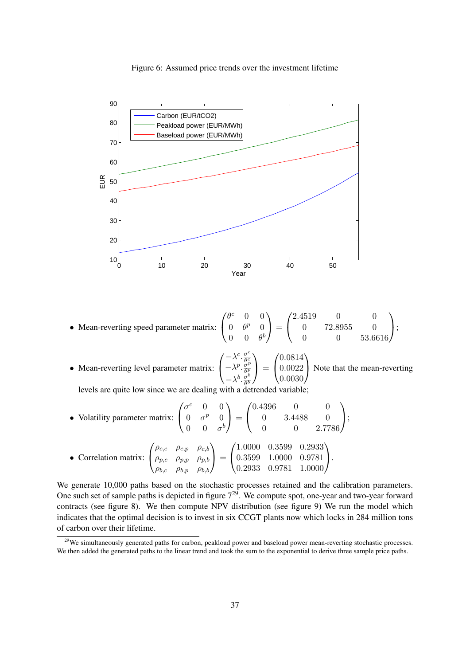Figure 6: Assumed price trends over the investment lifetime



• Mean-reverting speed parameter matrix:  $\sqrt{ }$  $\overline{1}$  $\theta^c$  0 0  $0 \quad \theta^p \quad 0$  $0 \t 0 \t \theta^b$  $\setminus$  $\Bigg) =$  $\sqrt{ }$  $\overline{1}$ 2.4519 0 0 0 72.8955 0 0 0 53.6616  $\setminus$  $\bigcup$ 

• Mean-reverting level parameter matrix:  $\sqrt{ }$  $\overline{1}$  $-\lambda^c \cdot \frac{\sigma^c}{\theta^c}$  $\overline{\theta_{x}^{c}}$  $-\lambda^p \cdot \frac{\sigma^p}{\theta^p}$  $\overline{\theta^p}$  $-\lambda^b \cdot \frac{\sigma^b}{ab}$  $\overline{\theta^b}$  $\setminus$  $\Big\} =$  $\sqrt{ }$  $\overline{1}$ 0.0814 0.0022 0.0030  $\setminus$ Note that the mean-reverting

levels are quite low since we are dealing with a detrended variable;

• Volatility parameter matrix:  $\sqrt{ }$  $\mathcal{L}$  $\sigma^c$  0 0  $0 \quad \sigma^p \quad 0$  $0 \quad 0 \quad \sigma^b$  $\setminus$  $\Big\} =$  $\sqrt{ }$  $\overline{1}$ 0.4396 0 0 0 3.4488 0 0 0 2.7786  $\setminus$  $\vert$ 

• Correlation matrix: 
$$
\begin{pmatrix} \rho_{c,c} & \rho_{c,p} & \rho_{c,b} \\ \rho_{p,c} & \rho_{p,p} & \rho_{p,b} \\ \rho_{b,c} & \rho_{b,p} & \rho_{b,b} \end{pmatrix} = \begin{pmatrix} 1.0000 & 0.3599 & 0.2933 \\ 0.3599 & 1.0000 & 0.9781 \\ 0.2933 & 0.9781 & 1.0000 \end{pmatrix}.
$$

We generate 10,000 paths based on the stochastic processes retained and the calibration parameters. One such set of sample paths is depicted in figure  $7<sup>29</sup>$ . We compute spot, one-year and two-year forward contracts (see figure 8). We then compute NPV distribution (see figure 9) We run the model which indicates that the optimal decision is to invest in six CCGT plants now which locks in 284 million tons of carbon over their lifetime.

<sup>&</sup>lt;sup>29</sup>We simultaneously generated paths for carbon, peakload power and baseload power mean-reverting stochastic processes. We then added the generated paths to the linear trend and took the sum to the exponential to derive three sample price paths.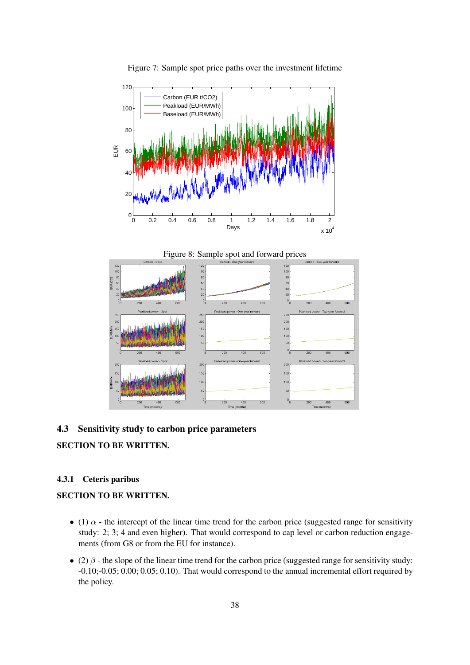

Figure 7: Sample spot price paths over the investment lifetime





## 4.3 Sensitivity study to carbon price parameters

## SECTION TO BE WRITTEN.

## 4.3.1 Ceteris paribus

## SECTION TO BE WRITTEN.

- (1)  $\alpha$  the intercept of the linear time trend for the carbon price (suggested range for sensitivity study: 2; 3; 4 and even higher). That would correspond to cap level or carbon reduction engagements (from G8 or from the EU for instance).
- (2)  $\beta$  the slope of the linear time trend for the carbon price (suggested range for sensitivity study: -0.10;-0.05; 0.00; 0.05; 0.10). That would correspond to the annual incremental effort required by the policy.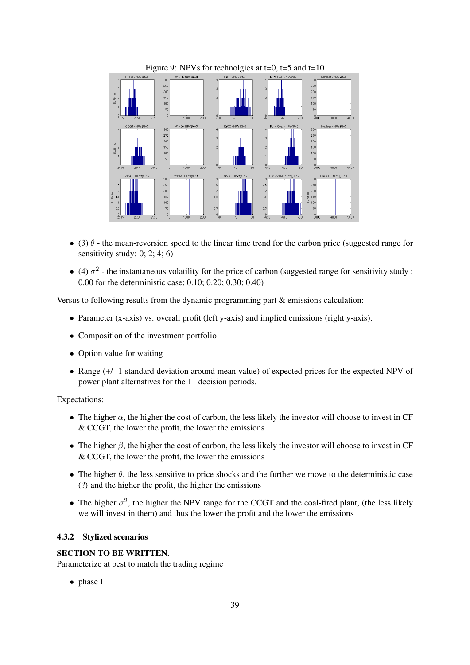

- (3)  $\theta$  the mean-reversion speed to the linear time trend for the carbon price (suggested range for sensitivity study:  $0; 2; 4; 6$
- (4)  $\sigma^2$  the instantaneous volatility for the price of carbon (suggested range for sensitivity study : 0.00 for the deterministic case; 0.10; 0.20; 0.30; 0.40)

Versus to following results from the dynamic programming part & emissions calculation:

- Parameter (x-axis) vs. overall profit (left y-axis) and implied emissions (right y-axis).
- Composition of the investment portfolio
- Option value for waiting
- Range  $(+/- 1)$  standard deviation around mean value) of expected prices for the expected NPV of power plant alternatives for the 11 decision periods.

#### Expectations:

- The higher  $\alpha$ , the higher the cost of carbon, the less likely the investor will choose to invest in CF & CCGT, the lower the profit, the lower the emissions
- The higher  $\beta$ , the higher the cost of carbon, the less likely the investor will choose to invest in CF & CCGT, the lower the profit, the lower the emissions
- The higher  $\theta$ , the less sensitive to price shocks and the further we move to the deterministic case (?) and the higher the profit, the higher the emissions
- The higher  $\sigma^2$ , the higher the NPV range for the CCGT and the coal-fired plant, (the less likely we will invest in them) and thus the lower the profit and the lower the emissions

#### 4.3.2 Stylized scenarios

## SECTION TO BE WRITTEN.

Parameterize at best to match the trading regime

• phase I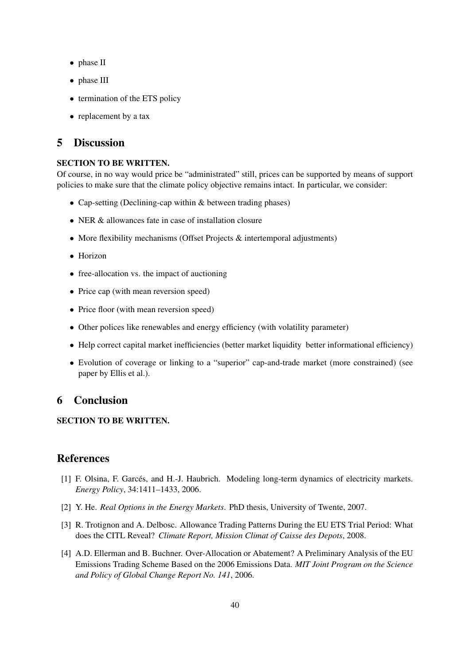- phase II
- phase III
- termination of the ETS policy
- replacement by a tax

## 5 Discussion

## SECTION TO BE WRITTEN.

Of course, in no way would price be "administrated" still, prices can be supported by means of support policies to make sure that the climate policy objective remains intact. In particular, we consider:

- Cap-setting (Declining-cap within & between trading phases)
- NER & allowances fate in case of installation closure
- More flexibility mechanisms (Offset Projects & intertemporal adjustments)
- Horizon
- free-allocation vs. the impact of auctioning
- Price cap (with mean reversion speed)
- Price floor (with mean reversion speed)
- Other polices like renewables and energy efficiency (with volatility parameter)
- Help correct capital market inefficiencies (better market liquidity better informational efficiency)
- Evolution of coverage or linking to a "superior" cap-and-trade market (more constrained) (see paper by Ellis et al.).

## 6 Conclusion

## SECTION TO BE WRITTEN.

## References

- [1] F. Olsina, F. Garcés, and H.-J. Haubrich. Modeling long-term dynamics of electricity markets. *Energy Policy*, 34:1411–1433, 2006.
- [2] Y. He. *Real Options in the Energy Markets*. PhD thesis, University of Twente, 2007.
- [3] R. Trotignon and A. Delbosc. Allowance Trading Patterns During the EU ETS Trial Period: What does the CITL Reveal? *Climate Report, Mission Climat of Caisse des Depots*, 2008.
- [4] A.D. Ellerman and B. Buchner. Over-Allocation or Abatement? A Preliminary Analysis of the EU Emissions Trading Scheme Based on the 2006 Emissions Data. *MIT Joint Program on the Science and Policy of Global Change Report No. 141*, 2006.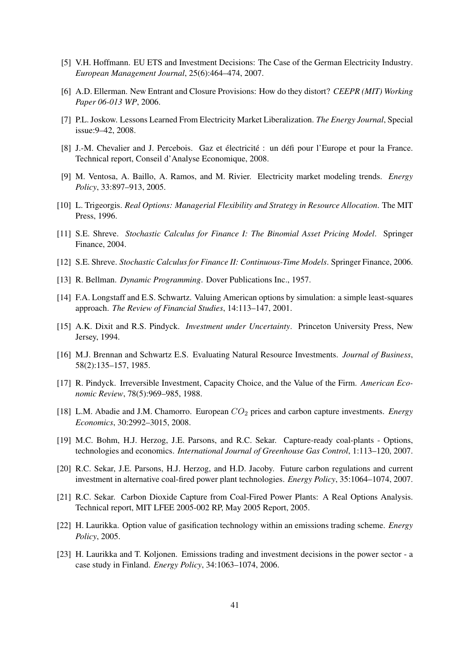- [5] V.H. Hoffmann. EU ETS and Investment Decisions: The Case of the German Electricity Industry. *European Management Journal*, 25(6):464–474, 2007.
- [6] A.D. Ellerman. New Entrant and Closure Provisions: How do they distort? *CEEPR (MIT) Working Paper 06-013 WP*, 2006.
- [7] P.L. Joskow. Lessons Learned From Electricity Market Liberalization. *The Energy Journal*, Special issue:9–42, 2008.
- [8] J.-M. Chevalier and J. Percebois. Gaz et électricité : un défi pour l'Europe et pour la France. Technical report, Conseil d'Analyse Economique, 2008.
- [9] M. Ventosa, A. Baillo, A. Ramos, and M. Rivier. Electricity market modeling trends. *Energy Policy*, 33:897–913, 2005.
- [10] L. Trigeorgis. *Real Options: Managerial Flexibility and Strategy in Resource Allocation*. The MIT Press, 1996.
- [11] S.E. Shreve. *Stochastic Calculus for Finance I: The Binomial Asset Pricing Model*. Springer Finance, 2004.
- [12] S.E. Shreve. *Stochastic Calculus for Finance II: Continuous-Time Models*. Springer Finance, 2006.
- [13] R. Bellman. *Dynamic Programming*. Dover Publications Inc., 1957.
- [14] F.A. Longstaff and E.S. Schwartz. Valuing American options by simulation: a simple least-squares approach. *The Review of Financial Studies*, 14:113–147, 2001.
- [15] A.K. Dixit and R.S. Pindyck. *Investment under Uncertainty*. Princeton University Press, New Jersey, 1994.
- [16] M.J. Brennan and Schwartz E.S. Evaluating Natural Resource Investments. *Journal of Business*, 58(2):135–157, 1985.
- [17] R. Pindyck. Irreversible Investment, Capacity Choice, and the Value of the Firm. *American Economic Review*, 78(5):969–985, 1988.
- [18] L.M. Abadie and J.M. Chamorro. European CO<sup>2</sup> prices and carbon capture investments. *Energy Economics*, 30:2992–3015, 2008.
- [19] M.C. Bohm, H.J. Herzog, J.E. Parsons, and R.C. Sekar. Capture-ready coal-plants Options, technologies and economics. *International Journal of Greenhouse Gas Control*, 1:113–120, 2007.
- [20] R.C. Sekar, J.E. Parsons, H.J. Herzog, and H.D. Jacoby. Future carbon regulations and current investment in alternative coal-fired power plant technologies. *Energy Policy*, 35:1064–1074, 2007.
- [21] R.C. Sekar. Carbon Dioxide Capture from Coal-Fired Power Plants: A Real Options Analysis. Technical report, MIT LFEE 2005-002 RP, May 2005 Report, 2005.
- [22] H. Laurikka. Option value of gasification technology within an emissions trading scheme. *Energy Policy*, 2005.
- [23] H. Laurikka and T. Koljonen. Emissions trading and investment decisions in the power sector a case study in Finland. *Energy Policy*, 34:1063–1074, 2006.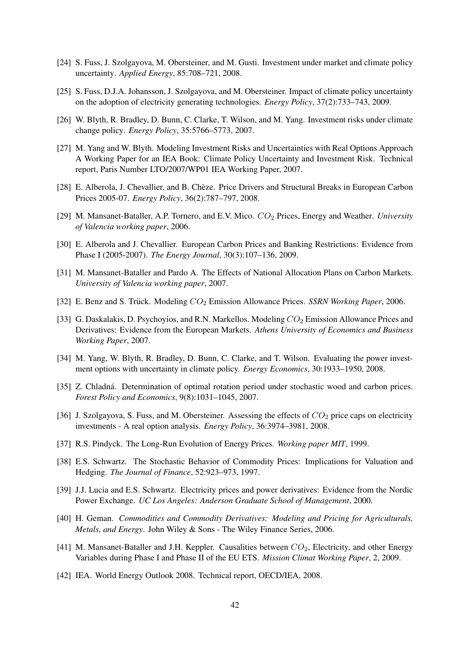- [24] S. Fuss, J. Szolgayova, M. Obersteiner, and M. Gusti. Investment under market and climate policy uncertainty. *Applied Energy*, 85:708–721, 2008.
- [25] S. Fuss, D.J.A. Johansson, J. Szolgayova, and M. Obersteiner. Impact of climate policy uncertainty on the adoption of electricity generating technologies. *Energy Policy*, 37(2):733–743, 2009.
- [26] W. Blyth, R. Bradley, D. Bunn, C. Clarke, T. Wilson, and M. Yang. Investment risks under climate change policy. *Energy Policy*, 35:5766–5773, 2007.
- [27] M. Yang and W. Blyth. Modeling Investment Risks and Uncertainties with Real Options Approach A Working Paper for an IEA Book: Climate Policy Uncertainty and Investment Risk. Technical report, Paris Number LTO/2007/WP01 IEA Working Paper, 2007.
- [28] E. Alberola, J. Chevallier, and B. Cheze. Price Drivers and Structural Breaks in European Carbon ` Prices 2005-07. *Energy Policy*, 36(2):787–797, 2008.
- [29] M. Mansanet-Bataller, A.P. Tornero, and E.V. Mico.  $CO<sub>2</sub>$  Prices, Energy and Weather. *University of Valencia working paper*, 2006.
- [30] E. Alberola and J. Chevallier. European Carbon Prices and Banking Restrictions: Evidence from Phase I (2005-2007). *The Energy Journal*, 30(3):107–136, 2009.
- [31] M. Mansanet-Bataller and Pardo A. The Effects of National Allocation Plans on Carbon Markets. *University of Valencia working paper*, 2007.
- [32] E. Benz and S. Trück. Modeling  $CO<sub>2</sub>$  Emission Allowance Prices. *SSRN Working Paper*, 2006.
- [33] G. Daskalakis, D. Psychoyios, and R.N. Markellos. Modeling  $CO_2$  Emission Allowance Prices and Derivatives: Evidence from the European Markets. *Athens University of Economics and Business Working Paper*, 2007.
- [34] M. Yang, W. Blyth, R. Bradley, D. Bunn, C. Clarke, and T. Wilson. Evaluating the power investment options with uncertainty in climate policy. *Energy Economics*, 30:1933–1950, 2008.
- [35] Z. Chladná. Determination of optimal rotation period under stochastic wood and carbon prices. *Forest Policy and Economics*, 9(8):1031–1045, 2007.
- [36] J. Szolgayova, S. Fuss, and M. Obersteiner. Assessing the effects of  $CO<sub>2</sub>$  price caps on electricity investments - A real option analysis. *Energy Policy*, 36:3974–3981, 2008.
- [37] R.S. Pindyck. The Long-Run Evolution of Energy Prices. *Working paper MIT*, 1999.
- [38] E.S. Schwartz. The Stochastic Behavior of Commodity Prices: Implications for Valuation and Hedging. *The Journal of Finance*, 52:923–973, 1997.
- [39] J.J. Lucia and E.S. Schwartz. Electricity prices and power derivatives: Evidence from the Nordic Power Exchange. *UC Los Angeles: Anderson Graduate School of Management*, 2000.
- [40] H. Geman. *Commodities and Commodity Derivatives: Modeling and Pricing for Agriculturals, Metals, and Energy*. John Wiley & Sons - The Wiley Finance Series, 2006.
- [41] M. Mansanet-Bataller and J.H. Keppler. Causalities between  $CO<sub>2</sub>$ , Electricity, and other Energy Variables during Phase I and Phase II of the EU ETS. *Mission Climat Working Paper*, 2, 2009.
- [42] IEA. World Energy Outlook 2008. Technical report, OECD/IEA, 2008.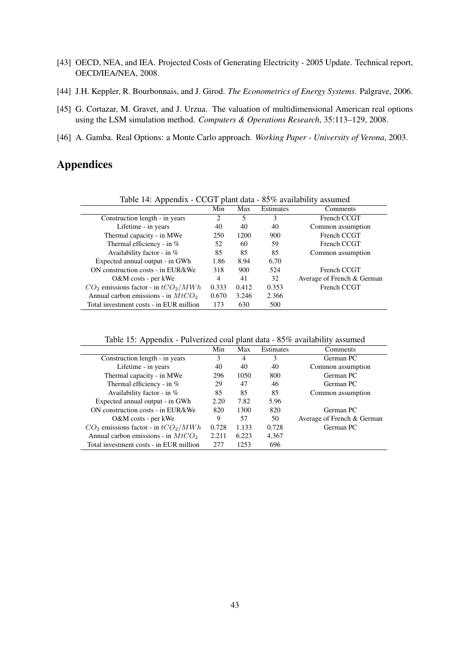- [43] OECD, NEA, and IEA. Projected Costs of Generating Electricity 2005 Update. Technical report, OECD/IEA/NEA, 2008.
- [44] J.H. Keppler, R. Bourbonnais, and J. Girod. *The Econometrics of Energy Systems*. Palgrave, 2006.
- [45] G. Cortazar, M. Gravet, and J. Urzua. The valuation of multidimensional American real options using the LSM simulation method. *Computers & Operations Research*, 35:113–129, 2008.
- [46] A. Gamba. Real Options: a Monte Carlo approach. *Working Paper University of Verona*, 2003.

## Appendices

| Table 14: Appendix - CCGT plant data - 85% availability assumed |                               |       |           |                            |
|-----------------------------------------------------------------|-------------------------------|-------|-----------|----------------------------|
|                                                                 | Min                           | Max   | Estimates | Comments                   |
| Construction length - in years                                  | $\mathfrak{D}_{\mathfrak{p}}$ | 5     | 3         | French CCGT                |
| Lifetime - in years                                             | 40                            | 40    | 40        | Common assumption          |
| Thermal capacity - in MWe                                       | 250                           | 1200  | 900       | French CCGT                |
| Thermal efficiency - in $%$                                     | 52                            | 60    | 59        | French CCGT                |
| Availability factor - in $%$                                    | 85                            | 85    | 85        | Common assumption          |
| Expected annual output - in GWh                                 | 1.86                          | 8.94  | 6.70      |                            |
| ON construction costs - in EUR/kWe                              | 318                           | 900   | 524       | French CCGT                |
| O&M costs - per kWe                                             | 4                             | 41    | 32        | Average of French & German |
| $CO2$ emissions factor - in $tCO2/MWh$                          | 0.333                         | 0.412 | 0.353     | French CCGT                |
| Annual carbon emissions - in $MtCO2$                            | 0.670                         | 3.246 | 2.366     |                            |
| Total investment costs - in EUR million                         | 173                           | 630   | 500       |                            |

Table 15: Appendix - Pulverized coal plant data - 85% availability assumed

| Table 15. Typendix T alvertized coal plant data $\sigma$ 5% availability assumed |       |       |           |                            |
|----------------------------------------------------------------------------------|-------|-------|-----------|----------------------------|
|                                                                                  | Min   | Max   | Estimates | Comments                   |
| Construction length - in years                                                   | 3     | 4     | 3         | German PC                  |
| Lifetime - in years                                                              | 40    | 40    | 40        | Common assumption          |
| Thermal capacity - in MWe                                                        | 296   | 1050  | 800       | German PC                  |
| Thermal efficiency - in $%$                                                      | 29    | 47    | 46        | German PC                  |
| Availability factor - in $%$                                                     | 85    | 85    | 85        | Common assumption          |
| Expected annual output - in GWh                                                  | 2.20  | 7.82  | 5.96      |                            |
| ON construction costs - in EUR/kWe                                               | 820   | 1300  | 820       | German PC                  |
| $O\&M$ costs - per kWe                                                           | 9     | 57    | 50        | Average of French & German |
| $CO2$ emissions factor - in $tCO2/MWh$                                           | 0.728 | 1.133 | 0.728     | German PC                  |
| Annual carbon emissions - in $MtCO2$                                             | 2.211 | 6.223 | 4.367     |                            |
| Total investment costs - in EUR million                                          | 277   | 1253  | 696       |                            |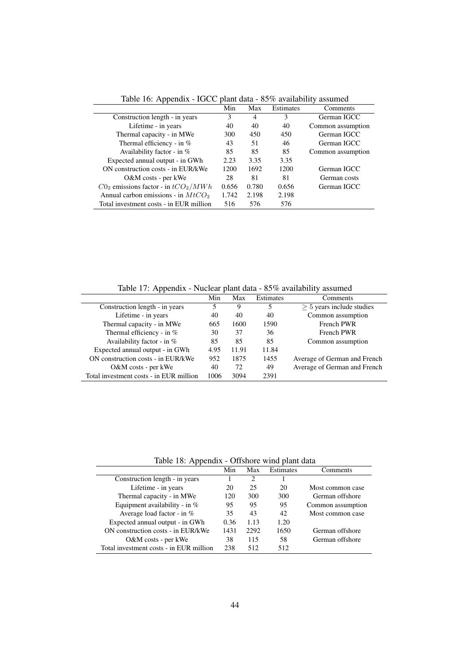|                                          | Min   | Max            | Estimates | Comments          |
|------------------------------------------|-------|----------------|-----------|-------------------|
| Construction length - in years           | 3     | $\overline{4}$ | 3         | German IGCC       |
| Lifetime - in years                      | 40    | 40             | 40        | Common assumption |
| Thermal capacity - in MWe                | 300   | 450            | 450       | German IGCC       |
| Thermal efficiency - in $%$              | 43    | 51             | 46        | German IGCC       |
| Availability factor - in $%$             | 85    | 85             | 85        | Common assumption |
| Expected annual output - in GWh          | 2.23  | 3.35           | 3.35      |                   |
| ON construction costs - in EUR/kWe       | 1200  | 1692           | 1200      | German IGCC       |
| $O\&M$ costs - per kWe                   | 28    | 81             | 81        | German costs      |
| $C0_2$ emissions factor - in $tCO_2/MWh$ | 0.656 | 0.780          | 0.656     | German IGCC       |
| Annual carbon emissions - in $MtCO2$     | 1.742 | 2.198          | 2.198     |                   |
| Total investment costs - in EUR million  | 516   | 576            | 576       |                   |

Table 16: Appendix - IGCC plant data - 85% availability assumed

Table 17: Appendix - Nuclear plant data - 85% availability assumed

| . .                                     |      |       | $\tilde{\phantom{a}}$ |                              |  |
|-----------------------------------------|------|-------|-----------------------|------------------------------|--|
|                                         | Min  | Max   | Estimates             | Comments                     |  |
| Construction length - in years          | 5    | 9     | 5                     | $> 5$ years include studies  |  |
| Lifetime - in years                     | 40   | 40    | 40                    | Common assumption            |  |
| Thermal capacity - in MWe               | 665  | 1600  | 1590                  | <b>French PWR</b>            |  |
| Thermal efficiency - in %               | 30   | 37    | 36                    | <b>French PWR</b>            |  |
| Availability factor - in $%$            | 85   | 85    | 85                    | Common assumption            |  |
| Expected annual output - in GWh         | 4.95 | 11.91 | 11.84                 |                              |  |
| ON construction costs - in EUR/kWe      | 952  | 1875  | 1455                  | Average of German and French |  |
| O&M costs - per kWe                     | 40   | 72    | 49                    | Average of German and French |  |
| Total investment costs - in EUR million | 1006 | 3094  | 2391                  |                              |  |

Table 18: Appendix - Offshore wind plant data

| - -                                     |      |      |           |                   |
|-----------------------------------------|------|------|-----------|-------------------|
|                                         | Min  | Max  | Estimates | Comments          |
| Construction length - in years          |      | 2    |           |                   |
| Lifetime - in years                     | 20   | 25   | 20        | Most common case  |
| Thermal capacity - in MWe               | 120  | 300  | 300       | German offshore   |
| Equipment availability - in $%$         | 95   | 95   | 95        | Common assumption |
| Average load factor - in $%$            | 35   | 43   | 42        | Most common case  |
| Expected annual output - in GWh         | 0.36 | 1.13 | 1.20      |                   |
| ON construction costs - in EUR/kWe      | 1431 | 2292 | 1650      | German offshore   |
| $O\&M$ costs - per kWe                  | 38   | 115  | 58        | German offshore   |
| Total investment costs - in EUR million | 238  | 512  | 512       |                   |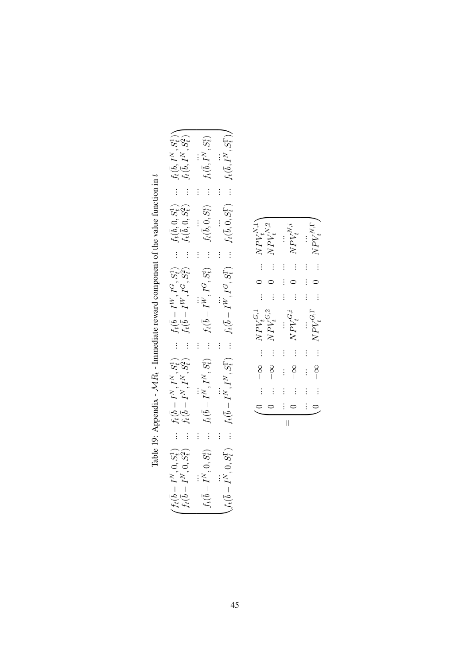| $\begin{pmatrix} f_t(\bar{b}-I^N,0,S^1_t) & \dots & f_t(\bar{b}-I^N,I^N,S^1_t) & \dots & f_t(\bar{b}-I^N,I^G,S^1_t) & \dots & f_t(\bar{b},0,S^1_t) & \dots & f_t(\bar{b},I^N,S^1_t) \\ f_t(\bar{b}-I^N,0,S^2_t) & \dots & f_t(\bar{b}-I^N,I^N,S^2_t) & \dots & f_t(\bar{b}-I^N,I^G,S^2_t) & \dots & f_t(\bar{b},0,S^2_t) & \dots & f_t(\bar{b},I^N,S^2_t) \\ f_t(\bar{b}-I^N,0,S^2_t) &$ |  |
|------------------------------------------------------------------------------------------------------------------------------------------------------------------------------------------------------------------------------------------------------------------------------------------------------------------------------------------------------------------------------------------|--|
|                                                                                                                                                                                                                                                                                                                                                                                          |  |
|                                                                                                                                                                                                                                                                                                                                                                                          |  |
|                                                                                                                                                                                                                                                                                                                                                                                          |  |
|                                                                                                                                                                                                                                                                                                                                                                                          |  |

| l                                                                           |
|-----------------------------------------------------------------------------|
| $\mathcal{M}1t_{i}$ - Immediate reward component of the value function in t |
|                                                                             |
|                                                                             |
|                                                                             |
| l                                                                           |
|                                                                             |
|                                                                             |
|                                                                             |
|                                                                             |
|                                                                             |
|                                                                             |
|                                                                             |
|                                                                             |
| Table 19: Appendix<br>ł                                                     |
|                                                                             |

 $\ddot{}$ 

 $\parallel$  $\overbrace{\hspace{27mm}}$ 

 $\subset$ 

 $\subset$ 

0 ...  $-\infty$  ...  $NPV_t^{G}$ 

0 ...  $-\infty$  ...  $NPV_t^{G,i}$ 

t ...

... ... ... ... ... ... ... ... ...

Γ t ...

 $0 \quad ... \quad NPV_t^{N,\Gamma}$ 

 $\ddot{}$ 

 $0 \quad ... \quad NPV^{N,i}_t$ 

 $\ddot{}$ 

 $\overbrace{\hspace{25mm}}$ 

 $\circ$ 

 $\subset$ 

0 ... – $\infty$  ...  $NPV_t^{G,1}$ 

0 ...  $-\infty$  ...  $NPV_t^{G,2}$ 

 $t$  .  $\ddots$ 

t ...

... ... ... ... ... ... ... ... ...

 $0 \quad ... \quad NPV^{N,1}_{t_{\delta}, \ldots}$ 

 $0 \quad ... \quad NPV_t^{N,2}$ 

 $\ddot{}$ 

 $\ddot{}$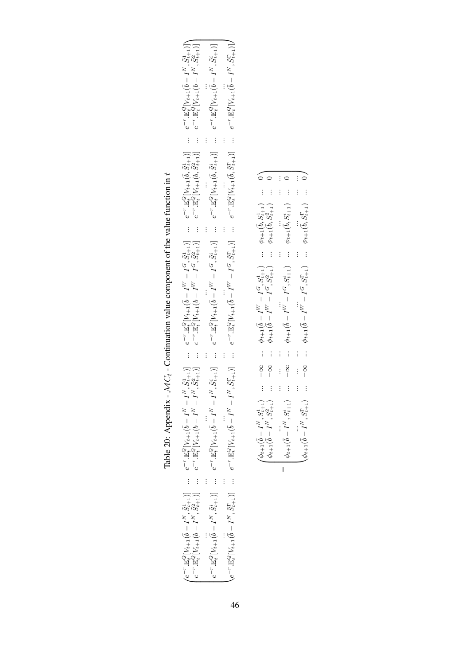| $\begin{pmatrix} e^{-r} \cdot \mathbb{E}^Q_{\mathbf{c}} \left[ V_{t+1} (\bar{b} - I^N, \tilde{S}_{t+1}^1) \right] & \dots & e^{-r} \cdot \mathbb{E}^Q_{\mathbf{c}} \left[ V_{t+1} (\bar{b} - I^N - I^N, \tilde{S}_{t+1}^1) \right] & \dots & e^{-r} \cdot \mathbb{E}^Q_{\mathbf{c}} \left[ V_{t+1} (\bar{b} - I^N - I^N, \tilde{S}_{t+1}^1) \right] \\ e^{-r} \cdot \mathbb{E}^Q_{\mathbf{c}} \left[ V_{t+1$ | $e^{-r}\mathbb{E}_t^Q[V_{t+1}(\vec{b}-I^N,\tilde{S}_{t+1}^i)]\quad \cdots \quad e^{-r}\mathbb{E}_t^Q[V_{t+1}(\vec{b}-I^N-I^N,\tilde{S}_{t+1}^i)]\quad \cdots \quad e^{-r}\mathbb{E}_t^Q[V_{t+1}(\vec{b}-I^W-I^G,\tilde{S}_{t+1}^i)]\quad \cdots \quad e^{-r}\mathbb{E}_t^Q[V_{t+1}(\vec{b},\tilde{S}_{t+1}^i)]\quad \cdots \quad e^{-r}\mathbb{E}_t^Q[V_{t+1}(\vec{b}-I^N,\tilde{S}_{t$ | - $\infty$ $\phi_{t+1}(\bar{b} - I^{W} - I^{G}, S_{t+1}^{i})$ $\phi_{t+1}(\bar{b}, S_{t+1}^{i})$ 0<br><br>$\begin{array}{ccccccccc} -\infty & \cdots & \phi_{t+1}(\bar{b}-I^W-I^G,S_{t+1}^1) & \cdots & \phi_{t+1}(\bar{b},S_{t+1}^1) & \cdots & 0 \\ -\infty & \cdots & \phi_{t+1}(\bar{b}-I^W-I^G,S_{t+1}^2) & \cdots & \phi_{t+1}(\bar{b},S_{t+1}^2) & \cdots & 0 \end{array} \Bigg\}$<br>$\begin{array}{cccc}\n\cdots & \cdots & \phi_{t+1}(\bar{b}-I^W-I^G,S^{\Gamma}_{t+1}) & \cdots & \phi_{t+1}(\bar{b},S^{\Gamma}_{t+1}) & \cdots & 0\n\end{array}$<br>$\begin{array}{ll} \displaystyle \stackrel{\dots}{\phi_{t+1}}(\bar{b}-I^N,S_{t+1}^i) & \dots \end{array}$<br>$\big\backslash \phi_{t+1}(\bar{b}-I^N,S_{t+1}^{\Gamma})$<br>$\begin{pmatrix} \phi_{t+1}(\bar{b} - I^N, S_{t+1}^1) \\ \phi_{t+1}(\bar{b} - I^N, S_{t+1}^2) \end{pmatrix}$<br>$\frac{1}{\sqrt{2}}$ |
|--------------------------------------------------------------------------------------------------------------------------------------------------------------------------------------------------------------------------------------------------------------------------------------------------------------------------------------------------------------------------------------------------------------|-----------------------------------------------------------------------------------------------------------------------------------------------------------------------------------------------------------------------------------------------------------------------------------------------------------------------------------------------------------------------------------------|--------------------------------------------------------------------------------------------------------------------------------------------------------------------------------------------------------------------------------------------------------------------------------------------------------------------------------------------------------------------------------------------------------------------------------------------------------------------------------------------------------------------------------------------------------------------------------------------------------------------------------------------------------------------------------------------------------------------------------------------------------------------------------------------------------------------------------------------------------------------------------|

Table 20: Appendix - 
$$
\mathcal{MC}_t
$$
 - Continuation value component of the value function in  $t$ .